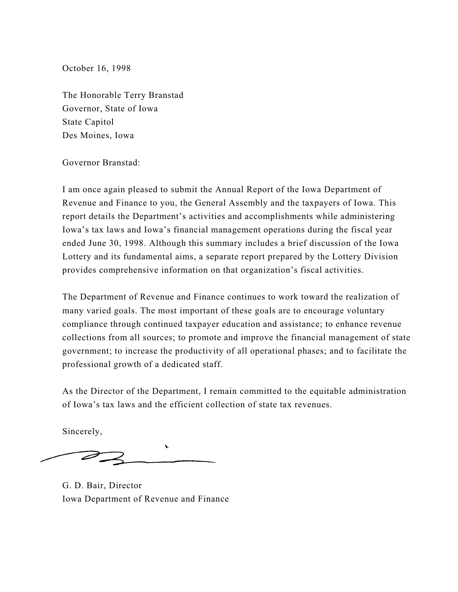October 16, 1998

The Honorable Terry Branstad Governor, State of Iowa State Capitol Des Moines, Iowa

#### Governor Branstad:

I am once again pleased to submit the Annual Report of the Iowa Department of Revenue and Finance to you, the General Assembly and the taxpayers of Iowa. This report details the Department's activities and accomplishments while administering Iowa's tax laws and Iowa's financial management operations during the fiscal year ended June 30, 1998. Although this summary includes a brief discussion of the Iowa Lottery and its fundamental aims, a separate report prepared by the Lottery Division provides comprehensive information on that organization's fiscal activities.

The Department of Revenue and Finance continues to work toward the realization of many varied goals. The most important of these goals are to encourage voluntary compliance through continued taxpayer education and assistance; to enhance revenue collections from all sources; to promote and improve the financial management of state government; to increase the productivity of all operational phases; and to facilitate the professional growth of a dedicated staff.

As the Director of the Department, I remain committed to the equitable administration of Iowa's tax laws and the efficient collection of state tax revenues.

Sincerely,

G. D. Bair, Director Iowa Department of Revenue and Finance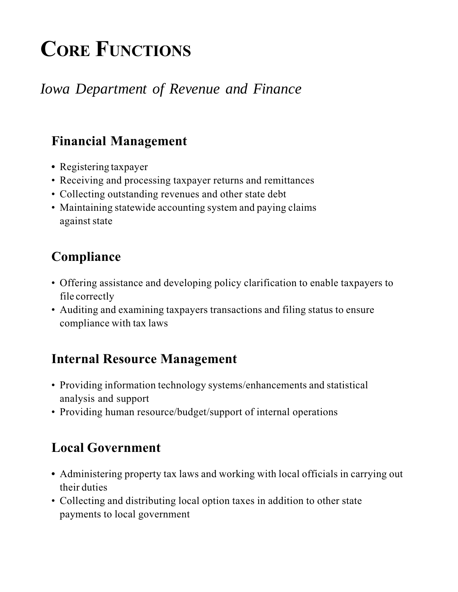# CORE FUNCTIONS

## *Iowa Department of Revenue and Finance*

### Financial Management

- Registering taxpayer
- Receiving and processing taxpayer returns and remittances
- Collecting outstanding revenues and other state debt
- Maintaining statewide accounting system and paying claims against state

### Compliance

- Offering assistance and developing policy clarification to enable taxpayers to file correctly
- Auditing and examining taxpayers transactions and filing status to ensure compliance with tax laws

### Internal Resource Management

- Providing information technology systems/enhancements and statistical analysis and support
- Providing human resource/budget/support of internal operations

### Local Government

- Administering property tax laws and working with local officials in carrying out their duties
- Collecting and distributing local option taxes in addition to other state payments to local government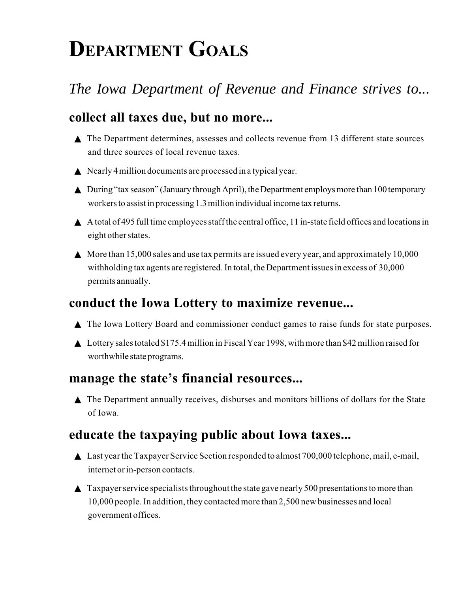# DEPARTMENT GOALS

## *The Iowa Department of Revenue and Finance strives to...*

### collect all taxes due, but no more...

- ▲ The Department determines, assesses and collects revenue from 13 different state sources and three sources of local revenue taxes.
- $\triangle$  Nearly 4 million documents are processed in a typical year.
- ▲ During "tax season" (January through April), the Department employs more than 100 temporary workers to assist in processing 1.3 million individual income tax returns.
- ▲ A total of 495 full time employees staff the central office, 11 in-state field offices and locations in eight other states.
- $\blacktriangle$  More than 15,000 sales and use tax permits are issued every year, and approximately 10,000 withholding tax agents are registered. In total, the Department issues in excess of 30,000 permits annually.

#### conduct the Iowa Lottery to maximize revenue...

- ▲ The Iowa Lottery Board and commissioner conduct games to raise funds for state purposes.
- ▲ Lottery sales totaled \$175.4 million in Fiscal Year 1998, with more than \$42 million raised for worthwhile state programs.

#### manage the state's financial resources...

▲ The Department annually receives, disburses and monitors billions of dollars for the State of Iowa.

#### educate the taxpaying public about Iowa taxes...

- ▲ Last year the Taxpayer Service Section responded to almost 700,000 telephone, mail, e-mail, internet or in-person contacts.
- $\triangle$  Taxpayer service specialists throughout the state gave nearly 500 presentations to more than 10,000 people. In addition, they contacted more than 2,500 new businesses and local government offices.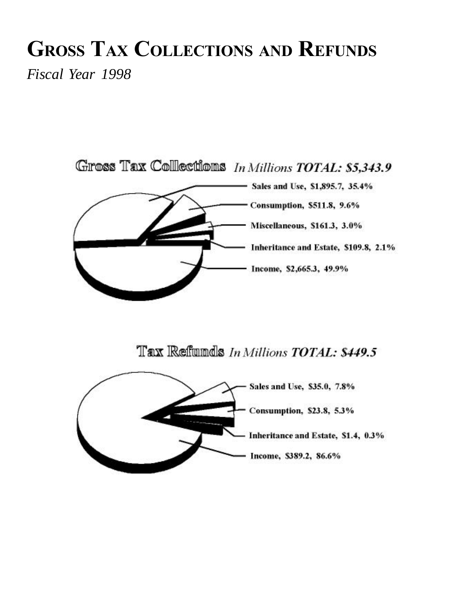# GROSS TAX COLLECTIONS AND REFUNDS

*Fiscal Year 1998*

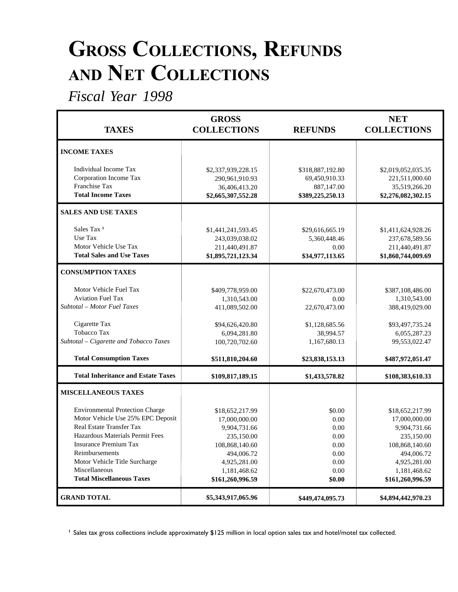## GROSS COLLECTIONS, REFUNDS AND NET COLLECTIONS

*Fiscal Year 1998*

| <b>TAXES</b>                                                                                                                                                                                                                                                                       | <b>GROSS</b><br><b>COLLECTIONS</b>                                                                                                                 | <b>REFUNDS</b>                                                                          | <b>NET</b><br><b>COLLECTIONS</b>                                                                                                                   |
|------------------------------------------------------------------------------------------------------------------------------------------------------------------------------------------------------------------------------------------------------------------------------------|----------------------------------------------------------------------------------------------------------------------------------------------------|-----------------------------------------------------------------------------------------|----------------------------------------------------------------------------------------------------------------------------------------------------|
| <b>INCOME TAXES</b>                                                                                                                                                                                                                                                                |                                                                                                                                                    |                                                                                         |                                                                                                                                                    |
| Individual Income Tax<br>Corporation Income Tax<br>Franchise Tax<br><b>Total Income Taxes</b>                                                                                                                                                                                      | \$2,337,939,228.15<br>290,961,910.93<br>36,406,413.20<br>\$2,665,307,552.28                                                                        | \$318,887,192.80<br>69,450,910.33<br>887,147.00<br>\$389,225,250.13                     | \$2,019,052,035.35<br>221,511,000.60<br>35,519,266.20<br>\$2,276,082,302.15                                                                        |
| <b>SALES AND USE TAXES</b>                                                                                                                                                                                                                                                         |                                                                                                                                                    |                                                                                         |                                                                                                                                                    |
| Sales Tax <sup>1</sup><br>Use Tax<br>Motor Vehicle Use Tax<br><b>Total Sales and Use Taxes</b>                                                                                                                                                                                     | \$1,441,241,593.45<br>243,039,038.02<br>211,440,491.87<br>\$1,895,721,123.34                                                                       | \$29,616,665.19<br>5,360,448.46<br>0.00<br>\$34,977,113.65                              | \$1,411,624,928.26<br>237,678,589.56<br>211,440,491.87<br>\$1,860,744,009.69                                                                       |
| <b>CONSUMPTION TAXES</b>                                                                                                                                                                                                                                                           |                                                                                                                                                    |                                                                                         |                                                                                                                                                    |
| Motor Vehicle Fuel Tax<br><b>Aviation Fuel Tax</b><br>Subtotal – Motor Fuel Taxes<br>Cigarette Tax<br><b>Tobacco Tax</b><br>Subtotal - Cigarette and Tobacco Taxes                                                                                                                 | \$409,778,959.00<br>1,310,543.00<br>411,089,502.00<br>\$94,626,420.80<br>6,094,281.80<br>100,720,702.60                                            | \$22,670,473.00<br>0.00<br>22,670,473.00<br>\$1,128,685.56<br>38,994.57<br>1,167,680.13 | \$387,108,486.00<br>1,310,543.00<br>388,419,029.00<br>\$93,497,735.24<br>6,055,287.23<br>99,553,022.47                                             |
| <b>Total Consumption Taxes</b>                                                                                                                                                                                                                                                     | \$511,810,204.60                                                                                                                                   | \$23,838,153.13                                                                         | \$487,972,051.47                                                                                                                                   |
| <b>Total Inheritance and Estate Taxes</b>                                                                                                                                                                                                                                          | \$109,817,189.15                                                                                                                                   | \$1,433,578.82                                                                          | \$108,383,610.33                                                                                                                                   |
| <b>MISCELLANEOUS TAXES</b>                                                                                                                                                                                                                                                         |                                                                                                                                                    |                                                                                         |                                                                                                                                                    |
| <b>Environmental Protection Charge</b><br>Motor Vehicle Use 25% EPC Deposit<br>Real Estate Transfer Tax<br>Hazardous Materials Permit Fees<br><b>Insurance Premium Tax</b><br>Reimbursements<br>Motor Vehicle Title Surcharge<br>Miscellaneous<br><b>Total Miscellaneous Taxes</b> | \$18,652,217.99<br>17,000,000.00<br>9,904,731.66<br>235,150.00<br>108,868,140.60<br>494,006.72<br>4,925,281.00<br>1,181,468.62<br>\$161,260,996.59 | \$0.00<br>0.00<br>0.00<br>0.00<br>$0.00\,$<br>0.00<br>0.00<br>0.00<br>\$0.00            | \$18,652,217.99<br>17,000,000.00<br>9,904,731.66<br>235,150.00<br>108,868,140.60<br>494,006.72<br>4,925,281.00<br>1,181,468.62<br>\$161,260,996.59 |
| <b>GRAND TOTAL</b>                                                                                                                                                                                                                                                                 | \$5,343,917,065.96                                                                                                                                 | \$449,474,095.73                                                                        | \$4,894,442,970.23                                                                                                                                 |

<sup>1</sup> Sales tax gross collections include approximately \$125 million in local option sales tax and hotel/motel tax collected.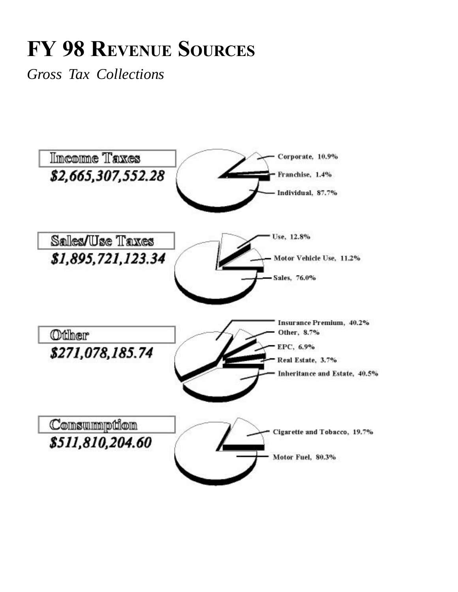# FY 98 REVENUE SOURCES

*Gross Tax Collections*

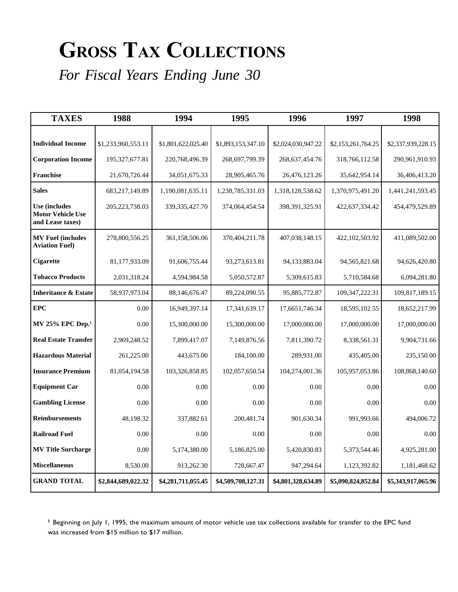# GROSS TAX COLLECTIONS

*For Fiscal Years Ending June 30*

| <b>TAXES</b>                                                         | 1988               | 1994               | 1995               | 1996               | 1997               | 1998               |
|----------------------------------------------------------------------|--------------------|--------------------|--------------------|--------------------|--------------------|--------------------|
|                                                                      |                    |                    |                    |                    |                    |                    |
| <b>Individual Income</b>                                             | \$1,233,960,553.11 | \$1,801,622,025.40 | \$1,893,153,347.10 | \$2,024,030,947.22 | \$2,153,261,764.25 | \$2,337,939,228.15 |
| <b>Corporation Income</b>                                            | 195, 327, 677.81   | 220,768,496.39     | 268,697,799.39     | 268, 637, 454. 76  | 318,766,112.58     | 290,961,910.93     |
| Franchise                                                            | 21,670,726.44      | 34,051,675.33      | 28,905,465.76      | 26,476,123.26      | 35,642,954.14      | 36,406,413.20      |
| <b>Sales</b>                                                         | 683,217,149.89     | 1,190,081,635.11   | 1,238,785,331.03   | 1,318,128,538.62   | 1,370,975,491.20   | 1,441,241,593.45   |
| <b>Use (includes</b><br><b>Motor Vehicle Use</b><br>and Lease taxes) | 205, 223, 738.03   | 339, 335, 427. 70  | 374,064,454.54     | 398,391,325.91     | 422,637,334.42     | 454,479,529.89     |
| <b>MV Fuel (includes</b><br><b>Aviation Fuel)</b>                    | 278,800,556.25     | 361,158,506.06     | 370,404,211.78     | 407,038,148.15     | 422,102,503.92     | 411,089,502.00     |
| <b>Cigarette</b>                                                     | 81,177,933.09      | 91,606,755.44      | 93,273,613.81      | 94,133,883.04      | 94,565,821.68      | 94,626,420.80      |
| <b>Tobacco Products</b>                                              | 2,031,318.24       | 4,594,984.58       | 5,050,572.87       | 5,309,615.83       | 5,710,584.68       | 6,094,281.80       |
| <b>Inheritance &amp; Estate</b>                                      | 58,937,973.04      | 88,146,676.47      | 89,224,090.55      | 95,885,772.87      | 109,347,222.31     | 109,817,189.15     |
| <b>EPC</b>                                                           | 0.00               | 16,949,397.14      | 17,341,639.17      | 17,6651,746.34     | 18,595,102.55      | 18,652,217.99      |
| MV 25% EPC Dep. <sup>1</sup>                                         | 0.00               | 15,300,000.00      | 15,300,000.00      | 17,000,000.00      | 17,000,000.00      | 17,000,000.00      |
| <b>Real Estate Transfer</b>                                          | 2,969,248.52       | 7,899,417.07       | 7,149,876.56       | 7,811,390.72       | 8,338,561.31       | 9,904,731.66       |
| <b>Hazardous Material</b>                                            | 261,225.00         | 443,675.00         | 184,100.00         | 289,931.00         | 435,405.00         | 235,150.00         |
| <b>Insurance Premium</b>                                             | 81,054,194.58      | 103,326,858.85     | 102,057,650.54     | 104,274,001.36     | 105,957,053.86     | 108,868,140.60     |
| <b>Equipment Car</b>                                                 | 0.00               | 0.00               | 0.00               | 0.00               | 0.00               | 0.00               |
| <b>Gambling License</b>                                              | 0.00               | 0.00               | 0.00               | 0.00               | 0.00               | 0.00               |
| <b>Reimbursements</b>                                                | 48,198.32          | 337,882.61         | 200,481.74         | 901,630.34         | 991,993.66         | 494,006.72         |
| <b>Railroad Fuel</b>                                                 | 0.00               | 0.00               | 0.00               | 0.00               | 0.00               | 0.00               |
| <b>MV Title Surcharge</b>                                            | 0.00               | 5,174,380.00       | 5,186,825.00       | 5,420,830.83       | 5,373,544.46       | 4,925,281.00       |
| <b>Miscellaneous</b>                                                 | 8,530.00           | 913,262.30         | 728,667.47         | 947,294.64         | 1,123,392.82       | 1,181,468.62       |
| <b>GRAND TOTAL</b>                                                   | \$2,844,689,022.32 | \$4,281,711,055.45 | \$4,509,708,127.31 | \$4,801,328,634.89 | \$5,090,824,852.84 | \$5,343,917,065.96 |

<sup>1</sup> Beginning on July 1, 1995, the maximum amount of motor vehicle use tax collections available for transfer to the EPC fund was increased from \$15 million to \$17 million.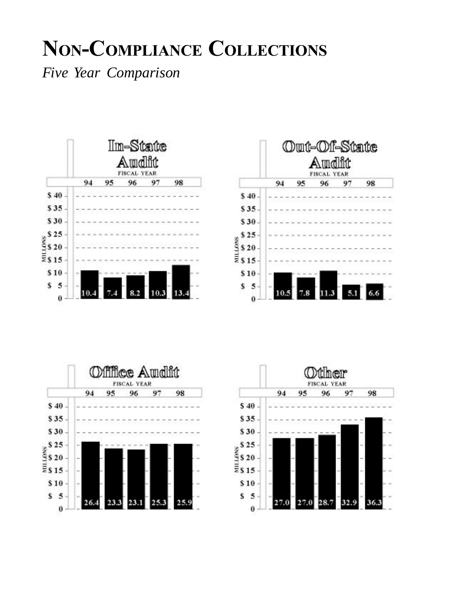## NON-COMPLIANCE COLLECTIONS

*Five Year Comparison*







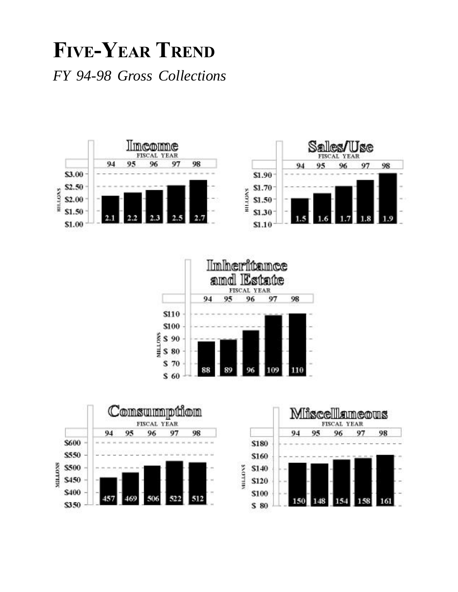## FIVE-YEAR TREND *FY 94-98 Gross Collections*







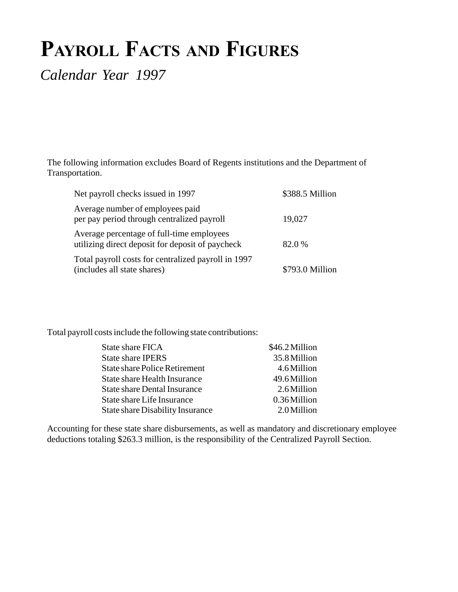## PAYROLL FACTS AND FIGURES

*Calendar Year 1997*

The following information excludes Board of Regents institutions and the Department of Transportation.

| Net payroll checks issued in 1997                                                             | \$388.5 Million |
|-----------------------------------------------------------------------------------------------|-----------------|
| Average number of employees paid<br>per pay period through centralized payroll                | 19,027          |
| Average percentage of full-time employees<br>utilizing direct deposit for deposit of paycheck | 82.0%           |
| Total payroll costs for centralized payroll in 1997<br>(includes all state shares)            | \$793.0 Million |

Total payroll costs include the following state contributions:

| State share FICA                     | \$46.2 Million |
|--------------------------------------|----------------|
| <b>State share IPERS</b>             | 35.8 Million   |
| <b>State share Police Retirement</b> | 4.6 Million    |
| <b>State share Health Insurance</b>  | 49.6 Million   |
| <b>State share Dental Insurance</b>  | 2.6 Million    |
| State share Life Insurance           | 0.36 Million   |
| State share Disability Insurance     | 2.0 Million    |

Accounting for these state share disbursements, as well as mandatory and discretionary employee deductions totaling \$263.3 million, is the responsibility of the Centralized Payroll Section.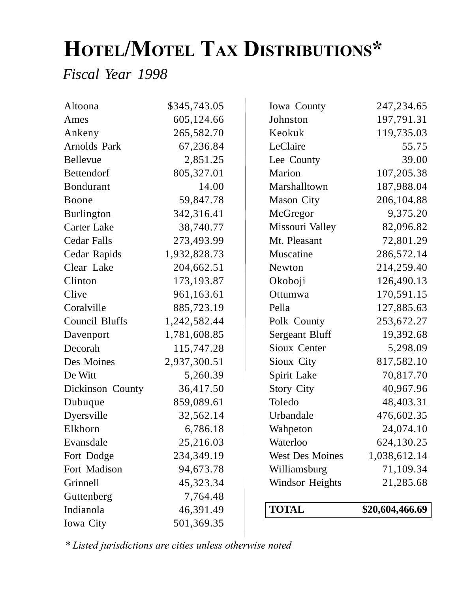# HOTEL/MOTEL TAX DISTRIBUTIONS\*

*Fiscal Year 1998*

| Altoona               | \$345,743.05 | Iowa County            | 247, 234. 65    |
|-----------------------|--------------|------------------------|-----------------|
| Ames                  | 605,124.66   | Johnston               | 197,791.31      |
| Ankeny                | 265,582.70   | Keokuk                 | 119,735.03      |
| Arnolds Park          | 67,236.84    | LeClaire               | 55.75           |
| <b>Bellevue</b>       | 2,851.25     | Lee County             | 39.00           |
| Bettendorf            | 805,327.01   | Marion                 | 107,205.38      |
| Bondurant             | 14.00        | Marshalltown           | 187,988.04      |
| Boone                 | 59,847.78    | <b>Mason City</b>      | 206,104.88      |
| <b>Burlington</b>     | 342,316.41   | McGregor               | 9,375.20        |
| <b>Carter Lake</b>    | 38,740.77    | Missouri Valley        | 82,096.82       |
| <b>Cedar Falls</b>    | 273,493.99   | Mt. Pleasant           | 72,801.29       |
| Cedar Rapids          | 1,932,828.73 | Muscatine              | 286,572.14      |
| Clear Lake            | 204,662.51   | Newton                 | 214,259.40      |
| Clinton               | 173,193.87   | Okoboji                | 126,490.13      |
| Clive                 | 961,163.61   | Ottumwa                | 170,591.15      |
| Coralville            | 885,723.19   | Pella                  | 127,885.63      |
| <b>Council Bluffs</b> | 1,242,582.44 | Polk County            | 253,672.27      |
| Davenport             | 1,781,608.85 | <b>Sergeant Bluff</b>  | 19,392.68       |
| Decorah               | 115,747.28   | Sioux Center           | 5,298.09        |
| Des Moines            | 2,937,300.51 | Sioux City             | 817,582.10      |
| De Witt               | 5,260.39     | Spirit Lake            | 70,817.70       |
| Dickinson County      | 36,417.50    | <b>Story City</b>      | 40,967.96       |
| Dubuque               | 859,089.61   | Toledo                 | 48,403.31       |
| Dyersville            | 32,562.14    | Urbandale              | 476,602.35      |
| Elkhorn               | 6,786.18     | Wahpeton               | 24,074.10       |
| Evansdale             | 25,216.03    | Waterloo               | 624, 130. 25    |
| Fort Dodge            | 234,349.19   | <b>West Des Moines</b> | 1,038,612.14    |
| Fort Madison          | 94,673.78    | Williamsburg           | 71,109.34       |
| Grinnell              | 45,323.34    | <b>Windsor Heights</b> | 21,285.68       |
| Guttenberg            | 7,764.48     |                        |                 |
| Indianola             | 46,391.49    | <b>TOTAL</b>           | \$20,604,466.69 |
| Iowa City             | 501,369.35   |                        |                 |

\* Listed jurisdictions are cities unless otherwise noted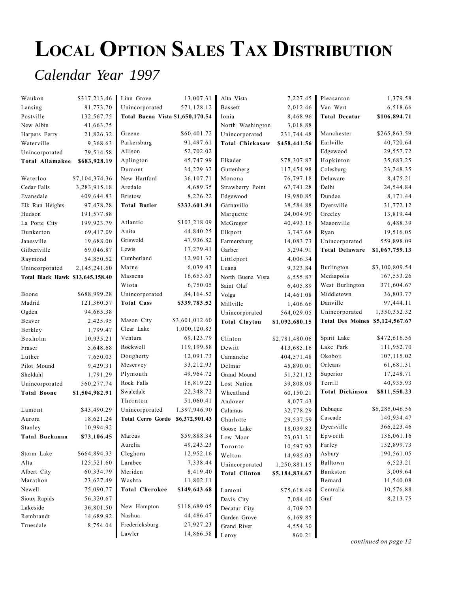## LOCAL OPTION SALES TAX DISTRIBUTION

### *Calendar Year 1997*

| Waukon                           | \$317,213.46   | Linn Grove                       | 13,007.31              | Alta Vista             | 7,227.45           | Pleasanton                      | 1,379.58       |
|----------------------------------|----------------|----------------------------------|------------------------|------------------------|--------------------|---------------------------------|----------------|
| Lansing                          | 81,773.70      | Unincorporated                   | 571,128.12             | Bassett                | 2,012.46           | Van Wert                        | 6,518.66       |
| Postville                        | 132,567.75     | Total Buena Vista \$1,650,170.54 |                        | Ionia                  | 8,468.96           | <b>Total Decatur</b>            | \$106,894.71   |
| New Albin                        | 41,663.75      |                                  |                        | North Washington       | 3,018.88           |                                 |                |
| Harpers Ferry                    | 21,826.32      | Greene                           | \$60,401.72            | Unincorporated         | 231,744.48         | Manchester                      | \$265,863.59   |
| Waterville                       | 9,368.63       | Parkersburg                      | 91,497.61              | <b>Total Chickasaw</b> | \$458,441.56       | Earlville                       | 40,720.64      |
| Unincorporated                   | 79,514.58      | Allison                          | 52,702.02              |                        |                    | Edgewood                        | 29,557.72      |
| Total Allamakee                  | \$683,928.19   | Aplington                        | 45,747.99              | Elkader                | \$78,307.87        | Hopkinton                       | 35,683.25      |
|                                  |                | Dumont                           | 34,229.32              | Guttenberg             | 117,454.98         | Colesburg                       | 23, 248. 35    |
| Waterloo                         | \$7,104,374.36 | New Hartford                     | 36,107.71              | Monona                 | 76,797.18          | Delaware                        | 8,475.21       |
| Cedar Falls                      | 3,283,915.18   | Aredale                          | 4,689.35               | Strawberry Point       | 67,741.28          | Delhi                           | 24,544.84      |
| Evansdale                        | 409,644.83     | <b>Bristow</b>                   | 8,226.22               | Edgewood               | 19,980.85          | Dundee                          | 8,171.44       |
| Elk Run Heights                  | 97,478.28      | <b>Total Butler</b>              | \$333,601.94           | Garnavillo             | 38,584.88          | Dyersville                      | 31,772.12      |
| Hudson                           | 191,577.88     |                                  |                        | Marquette              | 24,004.90          | Greeley                         | 13,819.44      |
| La Porte City                    | 199,923.79     | Atlantic                         | \$103,218.09           | McGregor               | 40,493.16          | Masonville                      | 6,488.39       |
| Dunkerton                        | 69,417.09      | Anita                            | 44,840.25              | Elkport                | 3,747.68           | Ryan                            | 19,516.05      |
| Janesville                       | 19,688.00      | Griswold                         | 47,936.82              | Farmersburg            | 14,083.73          | Unincorporated                  | 559,898.09     |
| Gilbertville                     | 69,046.87      | Lewis                            | 17,279.41              | Garber                 | 5,294.91           | <b>Total Delaware</b>           | \$1,067,759.13 |
| Raymond                          | 54,850.52      | Cumberland                       | 12,901.32              | Littleport             | 4,006.34           |                                 |                |
| Unincorporated                   | 2,145,241.60   | Marne                            | 6,039.43               | Luana                  | 9,323.84           | Burlington                      | \$3,100,809.54 |
| Total Black Hawk \$13,645,158.40 |                | Massena                          | 16,653.63              | North Buena Vista      | 6,555.87           | Mediapolis                      | 167,553.26     |
|                                  |                | Wiota                            | 6,750.05               | Saint Olaf             | 6,405.89           | West Burlington                 | 371,604.67     |
| Boone                            | \$688,999.28   | Unincorporated                   | 84,164.52              | Volga                  | 14,461.08          | Middletown                      | 36,803.77      |
| Madrid                           | 121,360.57     | <b>Total Cass</b>                | \$339,783.52           | Millville              | 1,406.66           | Danville                        | 97,444.11      |
| Ogden                            | 94,665.38      |                                  |                        | Unincorporated         | 564,029.05         | Unincorporated                  | 1,350,352.32   |
|                                  |                |                                  |                        |                        |                    |                                 |                |
| Beaver                           | 2,425.95       | Mason City                       | \$3,601,012.60         | <b>Total Clayton</b>   | \$1,092,680.15     | Total Des Moines \$5,124,567.67 |                |
| Berkley                          | 1,799.47       | Clear Lake                       | 1,000,120.83           |                        |                    |                                 |                |
| Boxholm                          | 10,935.21      | Ventura                          | 69,123.79              | Clinton                | \$2,781,480.06     | Spirit Lake                     | \$472,616.56   |
| Fraser                           | 5,648.68       | Rockwell                         | 119,199.58             | Dewitt                 | 413,685.16         | Lake Park                       | 111,952.70     |
| Luther                           | 7,650.03       | Dougherty                        | 12,091.73              | Camanche               | 404,571.48         | Okoboji                         | 107,115.02     |
| Pilot Mound                      | 9,429.31       | Meservey                         | 33,212.93              | Delmar                 | 45,890.01          | Orleans                         | 61,681.31      |
| Sheldahl                         | 1,791.29       | Plymouth                         | 49,964.72              | Grand Mound            | 51,321.12          | Superior                        | 17,248.71      |
| Unincorporated                   | 560,277.74     | Rock Falls                       | 16,819.22              | Lost Nation            | 39,808.09          | Terrill                         | 40,935.93      |
| <b>Total Boone</b>               | \$1,504,982.91 | Swaledale                        | 22,348.72              | Wheatland              | 60,150.21          | <b>Total Dickinson</b>          | \$811,550.23   |
|                                  |                | Thornton                         | 51,060.41              | Andover                | 8,077.43           |                                 |                |
| Lamont                           | \$43,490.29    | Unincorporated                   | 1,397,946.90           | Calamus                | 32,778.29          | Dubuque                         | \$6,285,046.56 |
| Aurora                           | 18,621.24      | Total Cerro Gordo \$6,372,901.43 |                        | Charlotte              | 29,537.59          | Cascade                         | 140,934.47     |
| Stanley                          | 10,994.92      |                                  |                        | Goose Lake             | 18,039.82          | Dyersville                      | 366,223.46     |
| <b>Total Buchanan</b>            | \$73,106.45    | Marcus                           | \$59,888.34            | Low Moor               | 23,031.31          | Epworth                         | 136,061.16     |
|                                  |                | Aurelia                          | 49,243.23              | Toronto                | 10,597.92          | Farley                          | 132,899.73     |
| Storm Lake                       | \$664,894.33   | Cleghorn                         | 12,952.16              | Welton                 | 14,985.03          | Asbury                          | 190,561.05     |
| Alta                             | 125,521.60     | Larabee                          | 7,338.44               | Unincorporated         | 1,250,881.15       | Balltown                        | 6,523.21       |
| Albert City                      | 60,334.79      | Meriden                          | 8,419.40               | <b>Total Clinton</b>   | \$5,184,834.67     | Bankston                        | 3,009.64       |
| Marathon                         | 23,627.49      | Washta                           | 11,802.11              |                        |                    | Bernard                         | 11,540.08      |
| Newell                           | 75,090.77      | <b>Total Cherokee</b>            | \$149,643.68           | Lamoni                 | \$75,618.49        | Centralia                       | 10,576.88      |
| Sioux Rapids                     | 56,320.67      |                                  |                        | Davis City             | 7,084.40           | Graf                            | 8,213.75       |
| Lakeside                         | 36,801.50      | New Hampton                      | \$118,689.05           | Decatur City           | 4,709.22           |                                 |                |
| Rembrandt                        | 14,689.92      | Nashua                           | 44,486.47              | Garden Grove           | 6,169.85           |                                 |                |
| Truesdale                        | 8,754.04       | Fredericksburg<br>Lawler         | 27,927.23<br>14,866.58 | Grand River<br>Leroy   | 4,554.30<br>860.21 |                                 |                |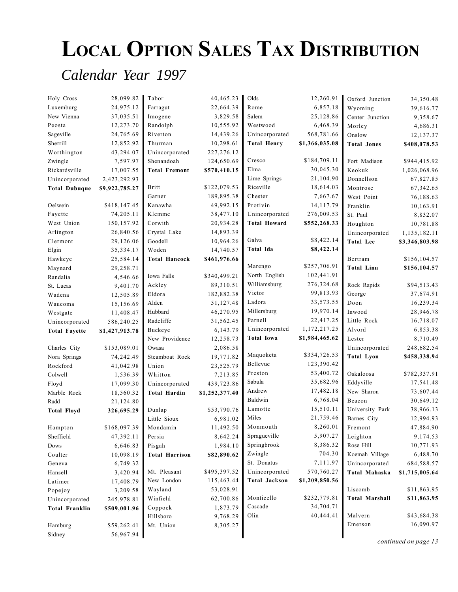# LOCAL OPTION SALES TAX DISTRIBUTION

### *Calendar Year 1997*

| Holy Cross            | 28,099.82      | Tabor                 | 40,465.23      | Olds                 | 12,260.91      | Oxford Junction       | 34,350.48      |
|-----------------------|----------------|-----------------------|----------------|----------------------|----------------|-----------------------|----------------|
| Luxemburg             | 24,975.12      | Farragut              | 22,664.39      | Rome                 | 6,857.18       | Wyoming               | 39,616.77      |
| New Vienna            | 37,035.51      | Imogene               | 3,829.58       | Salem                | 25,128.86      | Center Junction       | 9,358.67       |
| Peosta                | 12,273.70      | Randolph              | 10,555.92      | Westwood             | 6,468.39       | Morley                | 4,686.31       |
| Sageville             | 24,765.69      | Riverton              | 14,439.26      | Unincorporated       | 568,781.66     | Onslow                | 12,137.37      |
| Sherrill              | 12,852.92      | Thurman               | 10,298.61      | <b>Total Henry</b>   | \$1,366,035.08 | <b>Total Jones</b>    | \$408,078.53   |
| Worthington           | 43,294.07      | Unincorporated        | 227,276.12     |                      |                |                       |                |
| Zwingle               | 7,597.97       | Shenandoah            | 124,650.69     | Cresco               | \$184,709.11   | Fort Madison          | \$944,415.92   |
| Rickardsville         | 17,007.55      | <b>Total Fremont</b>  | \$570,410.15   | Elma                 | 30,045.30      | Keokuk                | 1,026,068.96   |
| Unincorporated        | 2,423,292.93   |                       |                | Lime Springs         | 21,104.90      | Donnellson            | 67,827.85      |
| <b>Total Dubuque</b>  | \$9,922,785.27 | Britt                 | \$122,079.53   | Riceville            | 18,614.03      | Montrose              | 67,342.65      |
|                       |                | Garner                | 189,895.38     | Chester              | 7,667.67       | West Point            | 76,188.63      |
| Oelwein               | \$418,147.45   | Kanawha               | 49,992.15      | Protivin             | 14,117.79      | Franklin              | 10,163.91      |
| Fayette               | 74,205.11      | Klemme                | 38,477.10      | Unincorporated       | 276,009.53     | St. Paul              | 8,832.07       |
| West Union            | 150,157.92     | Corwith               | 20,934.28      | <b>Total Howard</b>  | \$552,268.33   | Houghton              | 10,781.88      |
| Arlington             | 26,840.56      | Crystal Lake          | 14,893.39      |                      |                | Unincorporated        | 1,135,182.11   |
| Clermont              | 29,126.06      | Goodell               | 10,964.26      | Galva                | \$8,422.14     | <b>Total Lee</b>      | \$3,346,803.98 |
| Elgin                 | 35, 334. 17    | Woden                 | 14,740.57      | Total Ida            | \$8,422.14     |                       |                |
| Hawkeye               | 25,584.14      | <b>Total Hancock</b>  | \$461,976.66   |                      |                | Bertram               | \$156,104.57   |
| Maynard               | 29,258.71      |                       |                | Marengo              | \$257,706.91   | <b>Total Linn</b>     | \$156,104.57   |
| Randalia              | 4,546.66       | Iowa Falls            | \$340,499.21   | North English        | 102,441.91     |                       |                |
| St. Lucas             | 9,401.70       | Ackley                | 89,310.51      | Williamsburg         | 276,324.68     | Rock Rapids           | \$94,513.43    |
| Wadena                | 12,505.89      | Eldora                | 182,882.38     | Victor               | 99,813.93      | George                | 37,674.91      |
| Waucoma               | 15,156.69      | Alden                 | 51,127.48      | Ladora               | 33,573.55      | Doon                  | 16,239.34      |
| Westgate              | 11,408.47      | Hubbard               | 46,270.95      | Millersburg          | 19,970.14      | Inwood                | 28,946.78      |
| Unincorporated        | 586,240.25     | Radcliffe             | 31,562.45      | Parnell              | 22,417.25      | Little Rock           | 16,718.07      |
| <b>Total Fayette</b>  | \$1,427,913.78 | Buckeye               | 6,143.79       | Unincorporated       | 1,172,217.25   | Alvord                | 6,853.38       |
|                       |                | New Providence        | 12,258.73      | <b>Total Iowa</b>    | \$1,984,465.62 | Lester                | 8,710.49       |
| Charles City          | \$153,089.01   | Owasa                 | 2,086.58       |                      |                | Unincorporated        | 248,682.54     |
| Nora Springs          | 74,242.49      | Steamboat Rock        | 19,771.82      | Maquoketa            | \$334,726.53   | <b>Total Lyon</b>     | \$458,338.94   |
| Rockford              | 41,042.98      | Union                 | 23,525.79      | Bellevue             | 123,390.42     |                       |                |
| Colwell               | 1,536.39       | Whitton               | 7,213.85       | Preston              | 53,400.72      | Oskaloosa             | \$782,337.91   |
| Floyd                 | 17,099.30      | Unincorporated        | 439,723.86     | Sabula               | 35,682.96      | Eddyville             | 17,541.48      |
| Marble Rock           | 18,560.32      | <b>Total Hardin</b>   | \$1,252,377.40 | Andrew               | 17,482.18      | New Sharon            | 73,607.44      |
| Rudd                  | 21,124.80      |                       |                | Baldwin              | 6,768.04       | Beacon                | 30,649.12      |
| <b>Total Floyd</b>    | 326,695.29     | Dunlap                | \$53,790.76    | Lamotte              | 15,510.11      | University Park       | 38,966.13      |
|                       |                | Little Sioux          | 6,981.02       | Miles                | 21,759.46      | Barnes City           | 12,994.93      |
| Hampton               | \$168,097.39   | Mondamin              | 11,492.50      | Monmouth             | 8,260.01       | Fremont               | 47,884.90      |
| Sheffield             | 47,392.11      | Persia                | 8,642.24       | Spragueville         | 5,907.27       | Leighton              | 9,174.53       |
| Dows                  | 6,646.83       | Pisgah                | 1,984.10       | Springbrook          | 8,386.32       | Rose Hill             | 10,771.93      |
| Coulter               | 10,098.19      | <b>Total Harrison</b> | \$82,890.62    | Zwingle              | 704.30         | Koemah Village        | 6,488.70       |
| Geneva                | 6,749.32       |                       |                | St. Donatus          | 7,111.97       | Unincorporated        | 684,588.57     |
| Hansell               | 3,420.94       | Mt. Pleasant          | \$495,397.52   | Unincorporated       | 570,760.27     | Total Mahaska         | \$1,715,005.64 |
| Latimer               | 17,408.79      | New London            | 115,463.44     | <b>Total Jackson</b> | \$1,209,850.56 |                       |                |
| Popejoy               | 3,209.58       | Wayland               | 53,028.91      |                      |                | Liscomb               | \$11,863.95    |
| Unincorporated        | 245,978.81     | Winfield              | 62,700.86      | Monticello           | \$232,779.81   | <b>Total Marshall</b> | \$11,863.95    |
| <b>Total Franklin</b> | \$509,001.96   | Coppock               | 1,873.79       | Cascade              | 34,704.71      |                       |                |
|                       |                | Hillsboro             | 9,768.29       | Olin                 | 40,444.41      | Malvern               | \$43,684.38    |
| Hamburg               | \$59,262.41    | Mt. Union             | 8,305.27       |                      |                | Emerson               | 16,090.97      |
| Sidney                | 56,967.94      |                       |                |                      |                |                       |                |

continued on page 13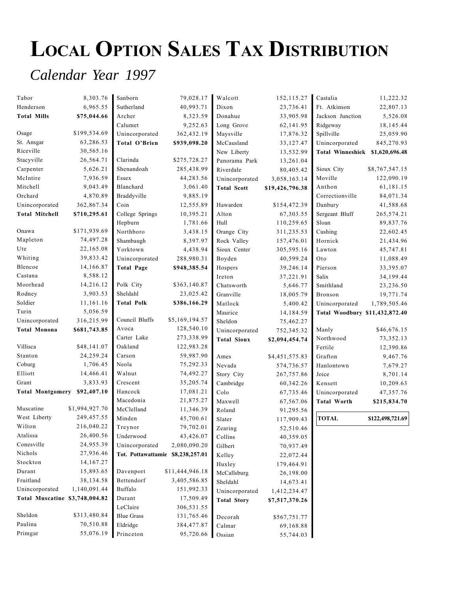# LOCAL OPTION SALES TAX DISTRIBUTION

## *Calendar Year 1997*

| Tabor                          | 8,303.76       | Sanborn                           | 79,028.17       | Walcott            | 152, 115.27     | Castalia                        | 11,222.32        |
|--------------------------------|----------------|-----------------------------------|-----------------|--------------------|-----------------|---------------------------------|------------------|
| Henderson                      | 6,965.55       | Sutherland                        | 40,993.71       | Dixon              | 23,736.41       | Ft. Atkinson                    | 22,807.13        |
| <b>Total Mills</b>             | \$75,044.66    | Archer                            | 8,323.59        | Donahue            | 33,905.98       | Jackson Junction                | 5,526.08         |
|                                |                | Calumet                           | 9,252.63        | Long Grove         | 62,141.95       | Ridgeway                        | 18,145.44        |
| Osage                          | \$199,534.69   | Unincorporated                    | 362,432.19      | Maysville          | 17,876.32       | Spillville                      | 25,059.90        |
| St. Ansgar                     | 63,286.53      | Total O'Brien                     | \$939,098.20    | McCausland         | 33,127.47       | Unincorporated                  | 845,270.93       |
| Riceville                      | 30,565.16      |                                   |                 | New Liberty        | 13,532.99       | Total Winneshiek \$1,620,696.48 |                  |
| Stacyville                     | 26,564.71      | Clarinda                          | \$275,728.27    | Panorama Park      | 13,261.04       |                                 |                  |
| Carpenter                      | 5,626.21       | Shenandoah                        | 285,438.99      | Riverdale          | 80,405.42       | Sioux City                      | \$8,767,547.15   |
| McIntire                       | 7,936.59       | Essex                             | 44,283.56       | Unincorporated     | 3,058,163.14    | Moville                         | 122,090.19       |
| Mitchell                       | 9,043.49       | Blanchard                         | 3,061.40        | <b>Total Scott</b> | \$19,426,796.38 | Anthon                          | 61,181.15        |
| Orchard                        | 4,870.89       | Braddyville                       | 9,885.19        |                    |                 | Correctionville                 | 84,071.34        |
| Unincorporated                 | 362,867.34     | Coin                              | 12,555.89       | Hawarden           | \$154,472.39    | Danbury                         | 41,588.68        |
| <b>Total Mitchell</b>          | \$710,295.61   | College Springs                   | 10,395.21       | Alton              | 67,303.55       | Sergeant Bluff                  | 265,574.21       |
|                                |                | Hepburn                           | 1,781.66        | Hull               | 110,259.65      | Sloan                           | 89,837.76        |
| Onawa                          | \$171,939.69   | Northboro                         | 3,438.15        | Orange City        | 311,235.53      | Cushing                         | 22,602.45        |
| Mapleton                       | 74,497.28      | Shambaugh                         | 8,397.97        | Rock Valley        | 157,476.01      | Hornick                         | 21,434.96        |
| Ute                            | 22,165.08      | Yorktown                          | 4,438.94        | Sioux Center       | 305,595.16      | Lawton                          | 45,747.81        |
| Whiting                        | 39,833.42      | Unincorporated                    | 288,980.31      | Boyden             | 40,599.24       | Oto                             | 11,088.49        |
| Blencoe                        | 14,166.87      | <b>Total Page</b>                 | \$948,385.54    | Hospers            | 39,246.14       | Pierson                         | 33,395.07        |
| Castana                        | 8,588.12       |                                   |                 | Ireton             | 37,221.91       | Salix                           | 34,199.44        |
| Moorhead                       | 14,216.12      | Polk City                         | \$363,140.87    | Chatsworth         | 5,646.77        | Smithland                       | 23,236.50        |
| Rodney                         | 3,903.53       | Sheldahl                          | 23,025.42       | Granville          | 18,005.79       | Bronson                         | 19,771.74        |
| Soldier                        | 11,161.16      | <b>Total Polk</b>                 | \$386,166.29    | Matlock            | 5,400.42        | Unincorporated                  | 1,789,505.46     |
| Turin                          | 5,056.59       |                                   |                 | Maurice            | 14,184.59       | Total Woodbury \$11,432,872.40  |                  |
| Unincorporated                 | 316,215.99     | Council Bluffs                    | \$5,169,194.57  | Sheldon            | 75,462.27       |                                 |                  |
| <b>Total Monona</b>            | \$681,743.85   | Avoca                             | 128,540.10      | Unincorporated     | 752,345.32      | Manly                           | \$46,676.15      |
|                                |                | Carter Lake                       | 273,338.99      | <b>Total Sioux</b> | \$2,094,454.74  | Northwood                       | 73, 352. 13      |
| Villisca                       | \$48,141.07    | Oakland                           | 122,983.28      |                    |                 | Fertile                         | 12,390.86        |
| Stanton                        | 24,259.24      | Carson                            | 59,987.90       | Ames               | \$4,451,575.83  | Grafton                         | 9,467.76         |
| Coburg                         | 1,706.45       | Neola                             | 75,292.33       | Nevada             | 574,736.57      | Hanlontown                      | 7,679.27         |
| Elliott                        | 14,466.41      | Walnut                            | 74,492.27       | Story City         | 267,757.86      | Joice                           | 8,701.14         |
| Grant                          | 3,833.93       | Crescent                          | 35,205.74       | Cambridge          | 60,342.26       | Kensett                         | 10,209.63        |
| <b>Total Montgomery</b>        | \$92,407.10    | Hancock                           | 17,081.21       | Colo               | 67,735.46       | Unincorporated                  | 47,357.76        |
|                                |                | Macedonia                         | 21,875.27       | Maxwell            | 67,567.06       | <b>Total Worth</b>              | \$215,834.70     |
| Muscatine                      | \$1,994,927.70 | McClelland                        | 11,346.39       | Roland             | 91,295.56       |                                 |                  |
| West Liberty                   | 249,457.55     | Minden                            | 45,700.61       | Slater             | 117,909.43      | <b>TOTAL</b>                    | \$122,498,721.69 |
| Wilton                         | 216,040.22     | Treynor                           | 79,702.01       | Zearing            | 52,510.46       |                                 |                  |
| Atalissa                       | 26,400.56      | Underwood                         | 43,426.07       | Collins            | 40,359.05       |                                 |                  |
| Conesville                     | 24,955.39      | Unincorporated                    | 2,080,090.20    | Gilbert            | 70,937.49       |                                 |                  |
| Nichols                        | 27,936.46      | Tot. Pottawattamie \$8,238,257.01 |                 | Kelley             | 22,072.44       |                                 |                  |
| Stockton                       | 14,167.27      |                                   |                 | Huxley             | 179,464.91      |                                 |                  |
| Durant                         | 15,893.65      | Davenport                         | \$11,444,946.18 | McCallsburg        | 26,198.00       |                                 |                  |
| Fruitland                      | 38,134.58      | Bettendorf                        | 3,405,586.85    | Sheldahl           | 14,673.41       |                                 |                  |
| Unincorporated                 | 1,140,091.44   | Buffalo                           | 151,992.33      | Unincorporated     | 1,412,234.47    |                                 |                  |
| Total Muscatine \$3,748,004.82 |                | Durant                            | 17,509.49       | <b>Total Story</b> | \$7,517,370.26  |                                 |                  |
|                                |                | LeClaire                          | 306,531.55      |                    |                 |                                 |                  |
| Sheldon                        | \$313,480.84   | <b>Blue Grass</b>                 | 131,765.46      | Decorah            | \$567,751.77    |                                 |                  |
| Paulina                        | 70,510.88      | Eldridge                          | 384,477.87      | Calmar             | 69,168.88       |                                 |                  |
| Primgar                        | 55,076.19      | Princeton                         | 95,720.66       | Ossian             | 55,744.03       |                                 |                  |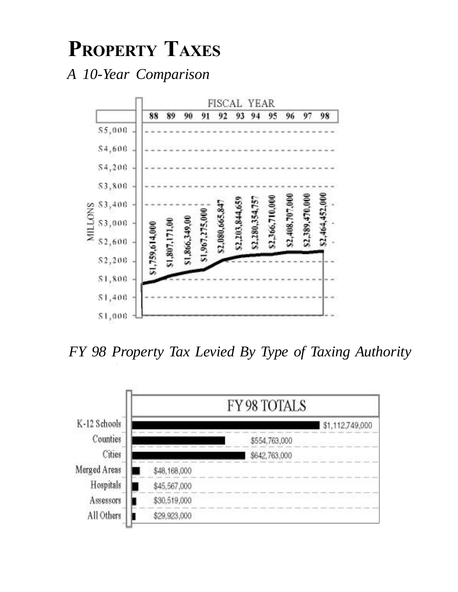## PROPERTY TAXES

*A 10-Year Comparison*



*FY 98 Property Tax Levied By Type of Taxing Authority*

*Total: \$2,464,452,000.00 (estimated)*

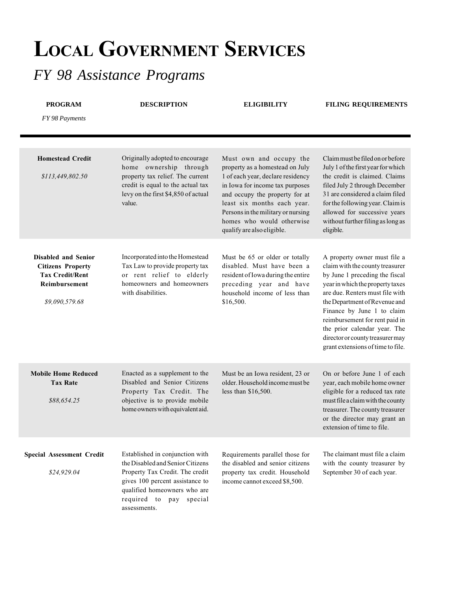## LOCAL GOVERNMENT SERVICES

## *FY 98 Assistance Programs*

| <b>PROGRAM</b><br>FY 98 Payments                                                                             | <b>DESCRIPTION</b>                                                                                                                                                                                                   | <b>ELIGIBILITY</b>                                                                                                                                                                                                                                                                                   | <b>FILING REQUIREMENTS</b>                                                                                                                                                                                                                                                                                                                                                         |
|--------------------------------------------------------------------------------------------------------------|----------------------------------------------------------------------------------------------------------------------------------------------------------------------------------------------------------------------|------------------------------------------------------------------------------------------------------------------------------------------------------------------------------------------------------------------------------------------------------------------------------------------------------|------------------------------------------------------------------------------------------------------------------------------------------------------------------------------------------------------------------------------------------------------------------------------------------------------------------------------------------------------------------------------------|
| <b>Homestead Credit</b><br>\$113,449,802.50                                                                  | Originally adopted to encourage<br>home ownership through<br>property tax relief. The current<br>credit is equal to the actual tax<br>levy on the first \$4,850 of actual<br>value.                                  | Must own and occupy the<br>property as a homestead on July<br>1 of each year, declare residency<br>in Iowa for income tax purposes<br>and occupy the property for at<br>least six months each year.<br>Persons in the military or nursing<br>homes who would otherwise<br>qualify are also eligible. | Claim must be filed on or before<br>July 1 of the first year for which<br>the credit is claimed. Claims<br>filed July 2 through December<br>31 are considered a claim filed<br>for the following year. Claim is<br>allowed for successive years<br>without further filing as long as<br>eligible.                                                                                  |
| Disabled and Senior<br><b>Citizens Property</b><br><b>Tax Credit/Rent</b><br>Reimbursement<br>\$9,090,579.68 | Incorporated into the Homestead<br>Tax Law to provide property tax<br>or rent relief to elderly<br>homeowners and homeowners<br>with disabilities.                                                                   | Must be 65 or older or totally<br>disabled. Must have been a<br>resident of Iowa during the entire<br>preceding year and have<br>household income of less than<br>\$16,500.                                                                                                                          | A property owner must file a<br>claim with the county treasurer<br>by June 1 preceding the fiscal<br>year in which the property taxes<br>are due. Renters must file with<br>the Department of Revenue and<br>Finance by June 1 to claim<br>reimbursement for rent paid in<br>the prior calendar year. The<br>director or county treasurer may<br>grant extensions of time to file. |
| <b>Mobile Home Reduced</b><br><b>Tax Rate</b><br>\$88,654.25                                                 | Enacted as a supplement to the<br>Disabled and Senior Citizens<br>Property Tax Credit. The<br>objective is to provide mobile<br>home owners with equivalent aid.                                                     | Must be an Iowa resident, 23 or<br>older. Household income must be<br>less than \$16,500.                                                                                                                                                                                                            | On or before June 1 of each<br>year, each mobile home owner<br>eligible for a reduced tax rate<br>must file a claim with the county<br>treasurer. The county treasurer<br>or the director may grant an<br>extension of time to file.                                                                                                                                               |
| <b>Special Assessment Credit</b><br>\$24,929.04                                                              | Established in conjunction with<br>the Disabled and Senior Citizens<br>Property Tax Credit. The credit<br>gives 100 percent assistance to<br>qualified homeowners who are<br>required to pay special<br>assessments. | Requirements parallel those for<br>the disabled and senior citizens<br>property tax credit. Household<br>income cannot exceed \$8,500.                                                                                                                                                               | The claimant must file a claim<br>with the county treasurer by<br>September 30 of each year.                                                                                                                                                                                                                                                                                       |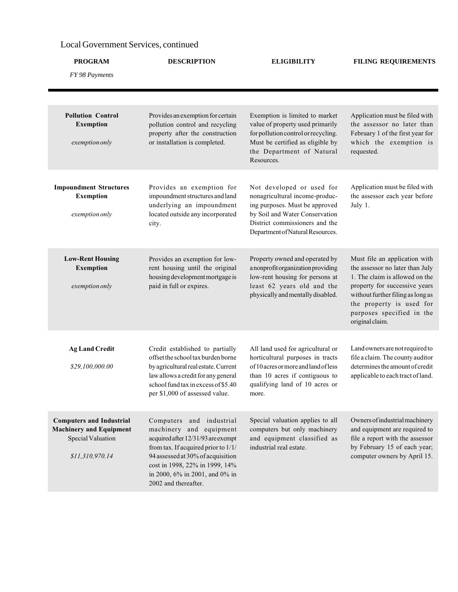#### Local Government Services, continued

| <b>PROGRAM</b>                                                                                            | <b>DESCRIPTION</b>                                                                                                                                                                                                                                                | <b>ELIGIBILITY</b>                                                                                                                                                                                    | <b>FILING REQUIREMENTS</b>                                                                                                                                                                                                                           |  |
|-----------------------------------------------------------------------------------------------------------|-------------------------------------------------------------------------------------------------------------------------------------------------------------------------------------------------------------------------------------------------------------------|-------------------------------------------------------------------------------------------------------------------------------------------------------------------------------------------------------|------------------------------------------------------------------------------------------------------------------------------------------------------------------------------------------------------------------------------------------------------|--|
| FY 98 Payments                                                                                            |                                                                                                                                                                                                                                                                   |                                                                                                                                                                                                       |                                                                                                                                                                                                                                                      |  |
|                                                                                                           |                                                                                                                                                                                                                                                                   |                                                                                                                                                                                                       |                                                                                                                                                                                                                                                      |  |
| <b>Pollution Control</b><br><b>Exemption</b><br>exemption only                                            | Provides an exemption for certain<br>pollution control and recycling<br>property after the construction<br>or installation is completed.                                                                                                                          | Exemption is limited to market<br>value of property used primarily<br>for pollution control or recycling.<br>Must be certified as eligible by<br>the Department of Natural<br>Resources.              | Application must be filed with<br>the assessor no later than<br>February 1 of the first year for<br>which the exemption is<br>requested.                                                                                                             |  |
| <b>Impoundment Structures</b><br><b>Exemption</b><br>exemption only                                       | Provides an exemption for<br>impoundment structures and land<br>underlying an impoundment<br>located outside any incorporated<br>city.                                                                                                                            | Not developed or used for<br>nonagricultural income-produc-<br>ing purposes. Must be approved<br>by Soil and Water Conservation<br>District commissioners and the<br>Department of Natural Resources. | Application must be filed with<br>the assessor each year before<br>July 1.                                                                                                                                                                           |  |
| <b>Low-Rent Housing</b><br><b>Exemption</b><br>exemption only                                             | Provides an exemption for low-<br>rent housing until the original<br>housing development mortgage is<br>paid in full or expires.                                                                                                                                  | Property owned and operated by<br>a nonprofit organization providing<br>low-rent housing for persons at<br>least 62 years old and the<br>physically and mentally disabled.                            | Must file an application with<br>the assessor no later than July<br>1. The claim is allowed on the<br>property for successive years<br>without further filing as long as<br>the property is used for<br>purposes specified in the<br>original claim. |  |
| <b>Ag Land Credit</b><br>\$29,100,000.00                                                                  | Credit established to partially<br>offset the school tax burden borne<br>by agricultural real estate. Current<br>law allows a credit for any general<br>school fund tax in excess of \$5.40<br>per \$1,000 of assessed value.                                     | All land used for agricultural or<br>horticultural purposes in tracts<br>of 10 acres or more and land of less<br>than 10 acres if contiguous to<br>qualifying land of 10 acres or<br>more.            | Land owners are not required to<br>file a claim. The county auditor<br>determines the amount of credit<br>applicable to each tract of land.                                                                                                          |  |
| <b>Computers and Industrial</b><br><b>Machinery and Equipment</b><br>Special Valuation<br>\$11,310,970.14 | Computers and industrial<br>machinery and equipment<br>acquired after 12/31/93 are exempt<br>from tax. If acquired prior to 1/1/<br>94 assessed at 30% of acquisition<br>cost in 1998, 22% in 1999, 14%<br>in 2000, 6% in 2001, and 0% in<br>2002 and thereafter. | Special valuation applies to all<br>computers but only machinery<br>and equipment classified as<br>industrial real estate.                                                                            | Owners of industrial machinery<br>and equipment are required to<br>file a report with the assessor<br>by February 15 of each year;<br>computer owners by April 15.                                                                                   |  |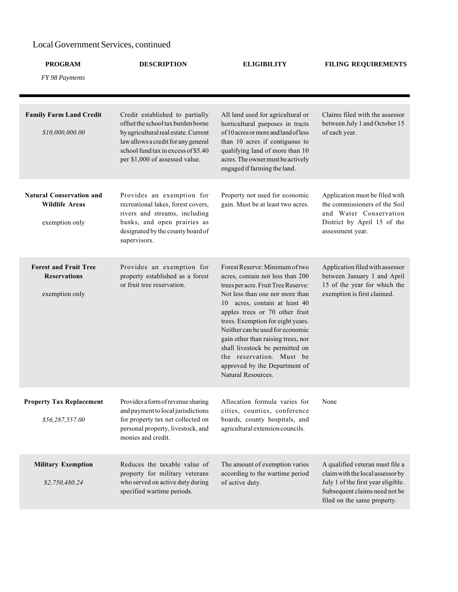#### Local Government Services, continued

| <b>PROGRAM</b>                                                             | <b>DESCRIPTION</b>                                                                                                                                                                                                            | <b>ELIGIBILITY</b>                                                                                                                                                                                                                                                                                                                                                                                                                                   | <b>FILING REQUIREMENTS</b>                                                                                                                                                |
|----------------------------------------------------------------------------|-------------------------------------------------------------------------------------------------------------------------------------------------------------------------------------------------------------------------------|------------------------------------------------------------------------------------------------------------------------------------------------------------------------------------------------------------------------------------------------------------------------------------------------------------------------------------------------------------------------------------------------------------------------------------------------------|---------------------------------------------------------------------------------------------------------------------------------------------------------------------------|
| FY 98 Payments                                                             |                                                                                                                                                                                                                               |                                                                                                                                                                                                                                                                                                                                                                                                                                                      |                                                                                                                                                                           |
| <b>Family Farm Land Credit</b><br>\$10,000,000.00                          | Credit established to partially<br>offset the school tax burden borne<br>by agricultural real estate. Current<br>law allows a credit for any general<br>school fund tax in excess of \$5.40<br>per \$1,000 of assessed value. | All land used for agricultural or<br>horticultural purposes in tracts<br>of 10 acres or more and land of less<br>than 10 acres if contiguous to<br>qualifying land of more than 10<br>acres. The owner must be actively<br>engaged if farming the land.                                                                                                                                                                                              | Claims filed with the assessor<br>between July 1 and October 15<br>of each year.                                                                                          |
| <b>Natural Conservation and</b><br><b>Wildlife Areas</b><br>exemption only | Provides an exemption for<br>recreational lakes, forest covers,<br>rivers and streams, including<br>banks, and open prairies as<br>designated by the county board of<br>supervisors.                                          | Property not used for economic<br>gain. Must be at least two acres.                                                                                                                                                                                                                                                                                                                                                                                  | Application must be filed with<br>the commissioners of the Soil<br>and Water Conservation<br>District by April 15 of the<br>assessment year.                              |
| <b>Forest and Fruit Tree</b><br><b>Reservations</b><br>exemption only      | Provides an exemption for<br>property established as a forest<br>or fruit tree reservation.                                                                                                                                   | Forest Reserve: Minimum of two<br>acres, contain not less than 200<br>trees per acre. Fruit Tree Reserve:<br>Not less than one nor more than<br>10 acres, contain at least 40<br>apples trees or 70 other fruit<br>trees. Exemption for eight years.<br>Neither can be used for economic<br>gain other than raising trees, nor<br>shall livestock be permitted on<br>the reservation. Must be<br>approved by the Department of<br>Natural Resources. | Application filed with assessor<br>between January 1 and April<br>15 of the year for which the<br>exemption is first claimed.                                             |
| <b>Property Tax Replacement</b><br>\$56,287,557.00                         | Provides a form of revenue sharing<br>and payment to local jurisdictions<br>for property tax net collected on<br>personal property, livestock, and<br>monies and credit.                                                      | Allocation formula varies for<br>cities, counties, conference<br>boards, county hospitals, and<br>agricultural extension councils.                                                                                                                                                                                                                                                                                                                   | None                                                                                                                                                                      |
| <b>Military Exemption</b><br>\$2,750,480.24                                | Reduces the taxable value of<br>property for military veterans<br>who served on active duty during<br>specified wartime periods.                                                                                              | The amount of exemption varies<br>according to the wartime period<br>of active duty.                                                                                                                                                                                                                                                                                                                                                                 | A qualified veteran must file a<br>claim with the local assessor by<br>July 1 of the first year eligible.<br>Subsequent claims need not be<br>filed on the same property. |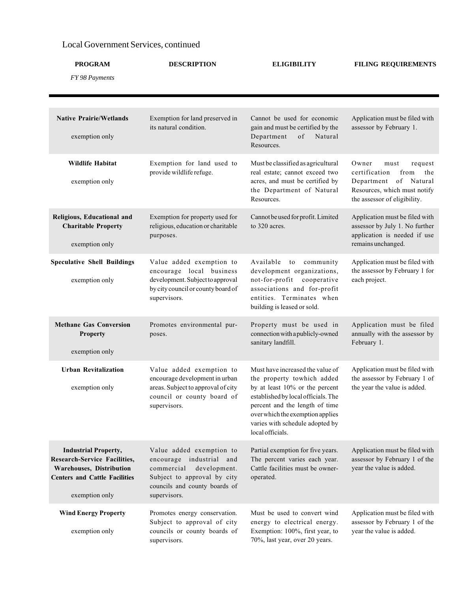#### Local Government Services, continued

| <b>PROGRAM</b>                                                                                                                                    | <b>DESCRIPTION</b>                                                                                                                                                 | <b>ELIGIBILITY</b>                                                                                                                                                                                                                                                   | <b>FILING REQUIREMENTS</b>                                                                                                                        |  |
|---------------------------------------------------------------------------------------------------------------------------------------------------|--------------------------------------------------------------------------------------------------------------------------------------------------------------------|----------------------------------------------------------------------------------------------------------------------------------------------------------------------------------------------------------------------------------------------------------------------|---------------------------------------------------------------------------------------------------------------------------------------------------|--|
| FY 98 Payments                                                                                                                                    |                                                                                                                                                                    |                                                                                                                                                                                                                                                                      |                                                                                                                                                   |  |
|                                                                                                                                                   |                                                                                                                                                                    |                                                                                                                                                                                                                                                                      |                                                                                                                                                   |  |
| <b>Native Prairie/Wetlands</b><br>exemption only                                                                                                  | Exemption for land preserved in<br>its natural condition.                                                                                                          | Cannot be used for economic<br>gain and must be certified by the<br>Department<br>$\sigma f$<br>Natural<br>Resources.                                                                                                                                                | Application must be filed with<br>assessor by February 1.                                                                                         |  |
| <b>Wildlife Habitat</b><br>exemption only                                                                                                         | Exemption for land used to<br>provide wildlife refuge.                                                                                                             | Must be classified as agricultural<br>real estate; cannot exceed two<br>acres, and must be certified by<br>the Department of Natural<br>Resources.                                                                                                                   | Owner<br>request<br>must<br>the<br>certification<br>from<br>Department of Natural<br>Resources, which must notify<br>the assessor of eligibility. |  |
| Religious, Educational and<br><b>Charitable Property</b><br>exemption only                                                                        | Exemption for property used for<br>religious, education or charitable<br>purposes.                                                                                 | Cannot be used for profit. Limited<br>to 320 acres.                                                                                                                                                                                                                  | Application must be filed with<br>assessor by July 1. No further<br>application is needed if use<br>remains unchanged.                            |  |
| <b>Speculative Shell Buildings</b><br>exemption only                                                                                              | Value added exemption to<br>encourage local business<br>development. Subject to approval<br>by city council or county board of<br>supervisors.                     | Available<br>to community<br>development organizations,<br>not-for-profit cooperative<br>associations and for-profit<br>entities. Terminates when<br>building is leased or sold.                                                                                     | Application must be filed with<br>the assessor by February 1 for<br>each project.                                                                 |  |
| <b>Methane Gas Conversion</b><br>Property<br>exemption only                                                                                       | Promotes environmental pur-<br>poses.                                                                                                                              | Property must be used in<br>connection with a publicly-owned<br>sanitary landfill.                                                                                                                                                                                   | Application must be filed<br>annually with the assessor by<br>February 1.                                                                         |  |
| <b>Urban Revitalization</b><br>exemption only                                                                                                     | Value added exemption to<br>encourage development in urban<br>areas. Subject to approval of city<br>council or county board of<br>supervisors.                     | Must have increased the value of<br>the property towhich added<br>by at least 10% or the percent<br>established by local officials. The<br>percent and the length of time<br>over which the exemption applies<br>varies with schedule adopted by<br>local officials. | Application must be filed with<br>the assessor by February 1 of<br>the year the value is added.                                                   |  |
| <b>Industrial Property,</b><br>Research-Service Facilities,<br>Warehouses, Distribution<br><b>Centers and Cattle Facilities</b><br>exemption only | Value added exemption to<br>encourage industrial and<br>commercial<br>development.<br>Subject to approval by city<br>councils and county boards of<br>supervisors. | Partial exemption for five years.<br>The percent varies each year.<br>Cattle facilities must be owner-<br>operated.                                                                                                                                                  | Application must be filed with<br>assessor by February 1 of the<br>year the value is added.                                                       |  |
| <b>Wind Energy Property</b><br>exemption only                                                                                                     | Promotes energy conservation.<br>Subject to approval of city<br>councils or county boards of<br>supervisors.                                                       | Must be used to convert wind<br>energy to electrical energy.<br>Exemption: 100%, first year, to<br>70%, last year, over 20 years.                                                                                                                                    | Application must be filed with<br>assessor by February 1 of the<br>year the value is added.                                                       |  |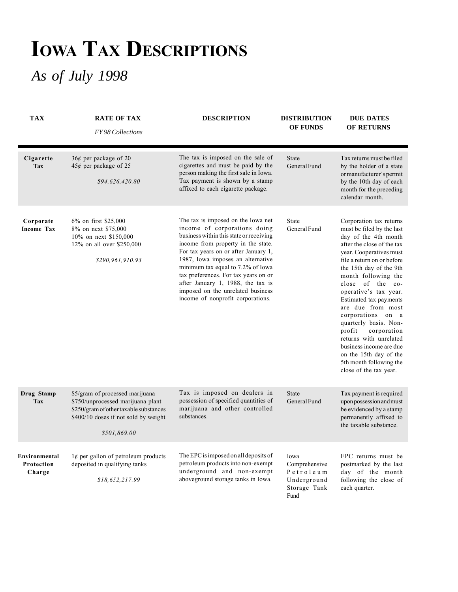# IOWA TAX DESCRIPTIONS

## *As of July 1998*

| <b>TAX</b>                            | <b>RATE OF TAX</b><br><b>FY98 Collections</b>                                                                                                                          | <b>DESCRIPTION</b>                                                                                                                                                                                                                                                                                                                                                                                                           | <b>DISTRIBUTION</b><br><b>OF FUNDS</b>                                    | <b>DUE DATES</b><br><b>OF RETURNS</b>                                                                                                                                                                                                                                                                                                                                                                                                                                                                                        |
|---------------------------------------|------------------------------------------------------------------------------------------------------------------------------------------------------------------------|------------------------------------------------------------------------------------------------------------------------------------------------------------------------------------------------------------------------------------------------------------------------------------------------------------------------------------------------------------------------------------------------------------------------------|---------------------------------------------------------------------------|------------------------------------------------------------------------------------------------------------------------------------------------------------------------------------------------------------------------------------------------------------------------------------------------------------------------------------------------------------------------------------------------------------------------------------------------------------------------------------------------------------------------------|
| Cigarette<br><b>Tax</b>               | $36¢$ per package of 20<br>$45¢$ per package of 25<br>\$94,626,420.80                                                                                                  | The tax is imposed on the sale of<br>cigarettes and must be paid by the<br>person making the first sale in Iowa.<br>Tax payment is shown by a stamp<br>affixed to each cigarette package.                                                                                                                                                                                                                                    | <b>State</b><br>General Fund                                              | Tax returns must be filed<br>by the holder of a state<br>or manufacturer's permit<br>by the 10th day of each<br>month for the preceding<br>calendar month.                                                                                                                                                                                                                                                                                                                                                                   |
| Corporate<br><b>Income Tax</b>        | $6\%$ on first \$25,000<br>8% on next \$75,000<br>10% on next \$150,000<br>12% on all over \$250,000<br>\$290,961,910.93                                               | The tax is imposed on the Iowa net<br>income of corporations doing<br>business within this state or receiving<br>income from property in the state.<br>For tax years on or after January 1,<br>1987, Iowa imposes an alternative<br>minimum tax equal to 7.2% of Iowa<br>tax preferences. For tax years on or<br>after January 1, 1988, the tax is<br>imposed on the unrelated business<br>income of nonprofit corporations. | State<br>General Fund                                                     | Corporation tax returns<br>must be filed by the last<br>day of the 4th month<br>after the close of the tax<br>year. Cooperatives must<br>file a return on or before<br>the 15th day of the 9th<br>month following the<br>close of the co-<br>operative's tax year.<br>Estimated tax payments<br>are due from most<br>corporations on a<br>quarterly basis. Non-<br>profit<br>corporation<br>returns with unrelated<br>business income are due<br>on the 15th day of the<br>5th month following the<br>close of the tax year. |
| Drug Stamp<br><b>Tax</b>              | \$5/gram of processed marijuana<br>\$750/unprocessed marijuana plant<br>\$250/gram of other taxable substances<br>\$400/10 doses if not sold by weight<br>\$501,869.00 | Tax is imposed on dealers in<br>possession of specified quantities of<br>marijuana and other controlled<br>substances.                                                                                                                                                                                                                                                                                                       | <b>State</b><br>General Fund                                              | Tax payment is required<br>upon possession and must<br>be evidenced by a stamp<br>permanently affixed to<br>the taxable substance.                                                                                                                                                                                                                                                                                                                                                                                           |
| Environmental<br>Protection<br>Charge | $1¢$ per gallon of petroleum products<br>deposited in qualifying tanks<br>\$18,652,217.99                                                                              | The EPC is imposed on all deposits of<br>petroleum products into non-exempt<br>underground and non-exempt<br>aboveground storage tanks in Iowa.                                                                                                                                                                                                                                                                              | Iowa<br>Comprehensive<br>Petroleum<br>Underground<br>Storage Tank<br>Fund | EPC returns must be<br>postmarked by the last<br>day of the month<br>following the close of<br>each quarter.                                                                                                                                                                                                                                                                                                                                                                                                                 |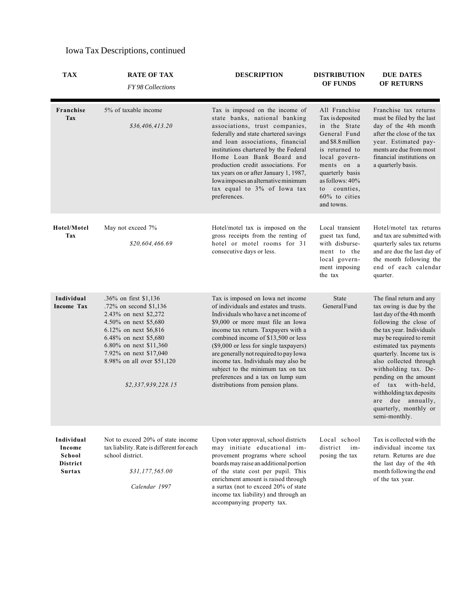| <b>TAX</b>                                                         | <b>RATE OF TAX</b><br>FY 98 Collections                                                                                                                                                                                                                      | <b>DESCRIPTION</b>                                                                                                                                                                                                                                                                                                                                                                                                                                                               | <b>DISTRIBUTION</b><br><b>OF FUNDS</b>                                                                                                                                                                                          | <b>DUE DATES</b><br>OF RETURNS                                                                                                                                                                                                                                                                                                                                                                                          |
|--------------------------------------------------------------------|--------------------------------------------------------------------------------------------------------------------------------------------------------------------------------------------------------------------------------------------------------------|----------------------------------------------------------------------------------------------------------------------------------------------------------------------------------------------------------------------------------------------------------------------------------------------------------------------------------------------------------------------------------------------------------------------------------------------------------------------------------|---------------------------------------------------------------------------------------------------------------------------------------------------------------------------------------------------------------------------------|-------------------------------------------------------------------------------------------------------------------------------------------------------------------------------------------------------------------------------------------------------------------------------------------------------------------------------------------------------------------------------------------------------------------------|
| Franchise<br>Tax                                                   | 5% of taxable income<br>\$36,406,413.20                                                                                                                                                                                                                      | Tax is imposed on the income of<br>state banks, national banking<br>associations, trust companies,<br>federally and state chartered savings<br>and loan associations, financial<br>institutions chartered by the Federal<br>Home Loan Bank Board and<br>production credit associations. For<br>tax years on or after January 1, 1987,<br>Iowa imposes an alternative minimum<br>tax equal to 3% of Iowa tax<br>preferences.                                                      | All Franchise<br>Tax is deposited<br>in the State<br>General Fund<br>and \$8.8 million<br>is returned to<br>local govern-<br>ments on a<br>quarterly basis<br>as follows: 40%<br>counties.<br>to<br>60% to cities<br>and towns. | Franchise tax returns<br>must be filed by the last<br>day of the 4th month<br>after the close of the tax<br>year. Estimated pay-<br>ments are due from most<br>financial institutions on<br>a quarterly basis.                                                                                                                                                                                                          |
| Hotel/Motel<br>Tax                                                 | May not exceed 7%<br>\$20,604,466.69                                                                                                                                                                                                                         | Hotel/motel tax is imposed on the<br>gross receipts from the renting of<br>hotel or motel rooms for 31<br>consecutive days or less.                                                                                                                                                                                                                                                                                                                                              | Local transient<br>guest tax fund,<br>with disburse-<br>ment to the<br>local govern-<br>ment imposing<br>the tax                                                                                                                | Hotel/motel tax returns<br>and tax are submitted with<br>quarterly sales tax returns<br>and are due the last day of<br>the month following the<br>end of each calendar<br>quarter.                                                                                                                                                                                                                                      |
| Individual<br><b>Income Tax</b>                                    | .36% on first \$1,136<br>.72% on second $$1,136$<br>2.43% on next \$2,272<br>4.50% on next \$5,680<br>6.12% on next \$6,816<br>6.48% on next \$5,680<br>6.80% on next \$11,360<br>7.92% on next \$17,040<br>8.98% on all over \$51,120<br>\$2,337,939,228.15 | Tax is imposed on Iowa net income<br>of individuals and estates and trusts.<br>Individuals who have a net income of<br>\$9,000 or more must file an Iowa<br>income tax return. Taxpayers with a<br>combined income of \$13,500 or less<br>(\$9,000 or less for single taxpayers)<br>are generally not required to pay Iowa<br>income tax. Individuals may also be<br>subject to the minimum tax on tax<br>preferences and a tax on lump sum<br>distributions from pension plans. | <b>State</b><br>General Fund                                                                                                                                                                                                    | The final return and any<br>tax owing is due by the<br>last day of the 4th month<br>following the close of<br>the tax year. Individuals<br>may be required to remit<br>estimated tax payments<br>quarterly. Income tax is<br>also collected through<br>withholding tax. De-<br>pending on the amount<br>tax with-held,<br>of<br>withholding tax deposits<br>are due annually,<br>quarterly, monthly or<br>semi-monthly. |
| Individual<br>Income<br>School<br><b>District</b><br><b>Surtax</b> | Not to exceed 20% of state income<br>tax liability. Rate is different for each<br>school district.<br>\$31,177,565.00<br>Calendar 1997                                                                                                                       | Upon voter approval, school districts<br>may initiate educational im-<br>provement programs where school<br>boards may raise an additional portion<br>of the state cost per pupil. This<br>enrichment amount is raised through<br>a surtax (not to exceed 20% of state<br>income tax liability) and through an<br>accompanying property tax.                                                                                                                                     | Local school<br>district<br>im-<br>posing the tax                                                                                                                                                                               | Tax is collected with the<br>individual income tax<br>return. Returns are due<br>the last day of the 4th<br>month following the end<br>of the tax year.                                                                                                                                                                                                                                                                 |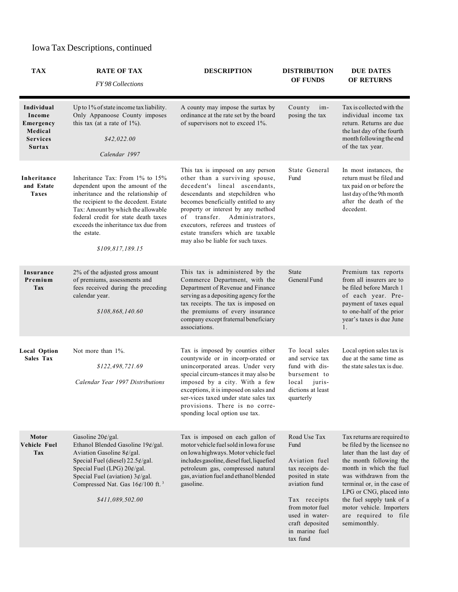| <b>TAX</b>                                                                       | <b>RATE OF TAX</b><br>FY98 Collections                                                                                                                                                                                                                                                                       | <b>DESCRIPTION</b>                                                                                                                                                                                                                                                                                                                                                        | <b>DISTRIBUTION</b><br><b>OF FUNDS</b>                                                                                                                                                               | <b>DUE DATES</b><br><b>OF RETURNS</b>                                                                                                                                                                                                                                                                                               |
|----------------------------------------------------------------------------------|--------------------------------------------------------------------------------------------------------------------------------------------------------------------------------------------------------------------------------------------------------------------------------------------------------------|---------------------------------------------------------------------------------------------------------------------------------------------------------------------------------------------------------------------------------------------------------------------------------------------------------------------------------------------------------------------------|------------------------------------------------------------------------------------------------------------------------------------------------------------------------------------------------------|-------------------------------------------------------------------------------------------------------------------------------------------------------------------------------------------------------------------------------------------------------------------------------------------------------------------------------------|
| Individual<br>Income<br>Emergency<br>Medical<br><b>Services</b><br><b>Surtax</b> | Up to 1% of state income tax liability.<br>Only Appanoose County imposes<br>this tax (at a rate of $1\%$ ).<br>\$42,022.00<br>Calendar 1997                                                                                                                                                                  | A county may impose the surtax by<br>ordinance at the rate set by the board<br>of supervisors not to exceed 1%.                                                                                                                                                                                                                                                           | County<br>im-<br>posing the tax                                                                                                                                                                      | Tax is collected with the<br>individual income tax<br>return. Returns are due<br>the last day of the fourth<br>month following the end<br>of the tax year.                                                                                                                                                                          |
| Inheritance<br>and Estate<br><b>Taxes</b>                                        | Inheritance Tax: From 1% to 15%<br>dependent upon the amount of the<br>inheritance and the relationship of<br>the recipient to the decedent. Estate<br>Tax: Amount by which the allowable<br>federal credit for state death taxes<br>exceeds the inheritance tax due from<br>the estate.<br>\$109,817,189.15 | This tax is imposed on any person<br>other than a surviving spouse,<br>decedent's lineal ascendants,<br>descendants and stepchildren who<br>becomes beneficially entitled to any<br>property or interest by any method<br>of transfer. Administrators,<br>executors, referees and trustees of<br>estate transfers which are taxable<br>may also be liable for such taxes. | State General<br>Fund                                                                                                                                                                                | In most instances, the<br>return must be filed and<br>tax paid on or before the<br>last day of the 9th month<br>after the death of the<br>decedent.                                                                                                                                                                                 |
| Insurance<br>Premium<br><b>Tax</b>                                               | 2% of the adjusted gross amount<br>of premiums, assessments and<br>fees received during the preceding<br>calendar year.<br>\$108,868,140.60                                                                                                                                                                  | This tax is administered by the<br>Commerce Department, with the<br>Department of Revenue and Finance<br>serving as a depositing agency for the<br>tax receipts. The tax is imposed on<br>the premiums of every insurance<br>company except fraternal beneficiary<br>associations.                                                                                        | <b>State</b><br>General Fund                                                                                                                                                                         | Premium tax reports<br>from all insurers are to<br>be filed before March 1<br>of each year. Pre-<br>payment of taxes equal<br>to one-half of the prior<br>year's taxes is due June<br>1.                                                                                                                                            |
| <b>Local Option</b><br>Sales Tax                                                 | Not more than $1\%$ .<br>\$122,498,721.69<br>Calendar Year 1997 Distributions                                                                                                                                                                                                                                | Tax is imposed by counties either<br>countywide or in incorp-orated or<br>unincorporated areas. Under very<br>special circum-stances it may also be<br>imposed by a city. With a few<br>exceptions, it is imposed on sales and<br>ser-vices taxed under state sales tax<br>provisions. There is no corre-<br>sponding local option use tax.                               | To local sales<br>and service tax<br>fund with dis-<br>bursement to<br>juris-<br>local<br>dictions at least<br>quarterly                                                                             | Local option sales tax is<br>due at the same time as<br>the state sales tax is due.                                                                                                                                                                                                                                                 |
| Motor<br>Vehicle Fuel<br><b>Tax</b>                                              | Gasoline $20 \frac{\cancel{e}}{g}$ al.<br>Ethanol Blended Gasoline 19¢/gal.<br>Aviation Gasoline $8¢$ /gal.<br>Special Fuel (diesel) $22.5¢$ /gal.<br>Special Fuel (LPG) 20¢/gal.<br>Special Fuel (aviation) $3¢$ /gal.<br>Compressed Nat. Gas $16¢/100$ ft. <sup>3</sup><br>\$411,089,502.00                | Tax is imposed on each gallon of<br>motor vehicle fuel sold in Iowa for use<br>on Iowa highways. Motor vehicle fuel<br>includes gasoline, diesel fuel, liquefied<br>petroleum gas, compressed natural<br>gas, aviation fuel and ethanol blended<br>gasoline.                                                                                                              | Road Use Tax<br>Fund<br>Aviation fuel<br>tax receipts de-<br>posited in state<br>aviation fund<br>Tax receipts<br>from motor fuel<br>used in water-<br>craft deposited<br>in marine fuel<br>tax fund | Tax returns are required to<br>be filed by the licensee no<br>later than the last day of<br>the month following the<br>month in which the fuel<br>was withdrawn from the<br>terminal or, in the case of<br>LPG or CNG, placed into<br>the fuel supply tank of a<br>motor vehicle. Importers<br>are required to file<br>semimonthly. |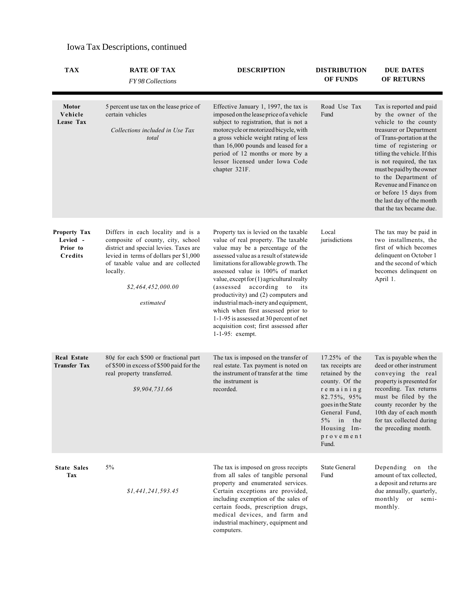| <b>TAX</b>                                             | <b>RATE OF TAX</b><br><b>FY98 Collections</b>                                                                                                                                                                                                   | <b>DESCRIPTION</b>                                                                                                                                                                                                                                                                                                                                                                                                                                                                                                                                         | <b>DISTRIBUTION</b><br><b>OF FUNDS</b>                                                                                                                                                           | <b>DUE DATES</b><br><b>OF RETURNS</b>                                                                                                                                                                                                                                                                                                                                                    |
|--------------------------------------------------------|-------------------------------------------------------------------------------------------------------------------------------------------------------------------------------------------------------------------------------------------------|------------------------------------------------------------------------------------------------------------------------------------------------------------------------------------------------------------------------------------------------------------------------------------------------------------------------------------------------------------------------------------------------------------------------------------------------------------------------------------------------------------------------------------------------------------|--------------------------------------------------------------------------------------------------------------------------------------------------------------------------------------------------|------------------------------------------------------------------------------------------------------------------------------------------------------------------------------------------------------------------------------------------------------------------------------------------------------------------------------------------------------------------------------------------|
| <b>Motor</b><br>Vehicle<br>Lease Tax                   | 5 percent use tax on the lease price of<br>certain vehicles<br>Collections included in Use Tax<br>total                                                                                                                                         | Effective January 1, 1997, the tax is<br>imposed on the lease price of a vehicle<br>subject to registration, that is not a<br>motorcycle or motorized bicycle, with<br>a gross vehicle weight rating of less<br>than 16,000 pounds and leased for a<br>period of 12 months or more by a<br>lessor licensed under Iowa Code<br>chapter 321F.                                                                                                                                                                                                                | Road Use Tax<br>Fund                                                                                                                                                                             | Tax is reported and paid<br>by the owner of the<br>vehicle to the county<br>treasurer or Department<br>of Trans-portation at the<br>time of registering or<br>titling the vehicle. If this<br>is not required, the tax<br>must be paid by the owner<br>to the Department of<br>Revenue and Finance on<br>or before 15 days from<br>the last day of the month<br>that the tax became due. |
| <b>Property Tax</b><br>Levied -<br>Prior to<br>Credits | Differs in each locality and is a<br>composite of county, city, school<br>district and special levies. Taxes are<br>levied in terms of dollars per \$1,000<br>of taxable value and are collected<br>locally.<br>\$2,464,452,000.00<br>estimated | Property tax is levied on the taxable<br>value of real property. The taxable<br>value may be a percentage of the<br>assessed value as a result of statewide<br>limitations for allowable growth. The<br>assessed value is 100% of market<br>value, except for (1) agricultural realty<br>(assessed)<br>according to<br>its<br>productivity) and (2) computers and<br>industrial mach-inery and equipment,<br>which when first assessed prior to<br>1-1-95 is assessed at 30 percent of net<br>acquisition cost; first assessed after<br>$1-1-95$ : exempt. | Local<br>jurisdictions                                                                                                                                                                           | The tax may be paid in<br>two installments, the<br>first of which becomes<br>delinquent on October 1<br>and the second of which<br>becomes delinquent on<br>April 1.                                                                                                                                                                                                                     |
| <b>Real Estate</b><br><b>Transfer Tax</b>              | 80¢ for each \$500 or fractional part<br>of \$500 in excess of \$500 paid for the<br>real property transferred.<br>\$9,904,731.66                                                                                                               | The tax is imposed on the transfer of<br>real estate. Tax payment is noted on<br>the instrument of transfer at the time<br>the instrument is<br>recorded.                                                                                                                                                                                                                                                                                                                                                                                                  | 17.25% of the<br>tax receipts are<br>retained by the<br>county. Of the<br>remaining<br>82.75%, 95%<br>goes in the State<br>General Fund,<br>$5\%$ in<br>the<br>Housing Im-<br>provement<br>Fund. | Tax is payable when the<br>deed or other instrument<br>conveying the real<br>property is presented for<br>recording. Tax returns<br>must be filed by the<br>county recorder by the<br>10th day of each month<br>for tax collected during<br>the preceding month.                                                                                                                         |
| <b>State Sales</b><br>Tax                              | 5%<br>\$1,441,241,593.45                                                                                                                                                                                                                        | The tax is imposed on gross receipts<br>from all sales of tangible personal<br>property and enumerated services.<br>Certain exceptions are provided,<br>including exemption of the sales of<br>certain foods, prescription drugs,<br>medical devices, and farm and<br>industrial machinery, equipment and<br>computers.                                                                                                                                                                                                                                    | <b>State General</b><br>Fund                                                                                                                                                                     | Depending on the<br>amount of tax collected,<br>a deposit and returns are<br>due annually, quarterly,<br>monthly or semi-<br>monthly.                                                                                                                                                                                                                                                    |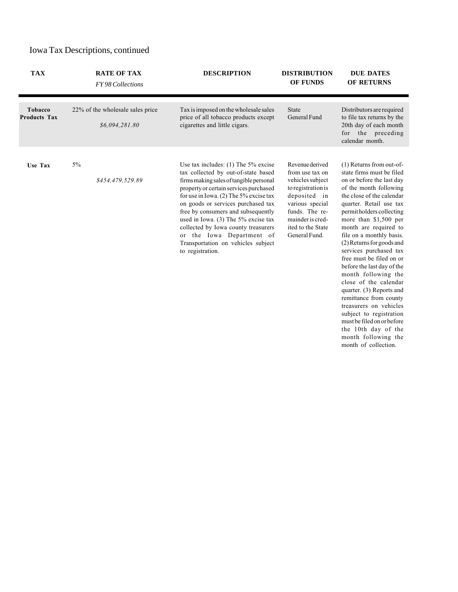| <b>TAX</b>                     | <b>RATE OF TAX</b><br>FY 98 Collections            | <b>DESCRIPTION</b>                                                                                                                                                                                                                                                                                                                                                                                                                                             | <b>DISTRIBUTION</b><br><b>OF FUNDS</b>                                                                                                                                                      | <b>DUE DATES</b><br>OF RETURNS                                                                                                                                                                                                                                                                                                                                                                                                                                                                                                                                                                                                                                    |
|--------------------------------|----------------------------------------------------|----------------------------------------------------------------------------------------------------------------------------------------------------------------------------------------------------------------------------------------------------------------------------------------------------------------------------------------------------------------------------------------------------------------------------------------------------------------|---------------------------------------------------------------------------------------------------------------------------------------------------------------------------------------------|-------------------------------------------------------------------------------------------------------------------------------------------------------------------------------------------------------------------------------------------------------------------------------------------------------------------------------------------------------------------------------------------------------------------------------------------------------------------------------------------------------------------------------------------------------------------------------------------------------------------------------------------------------------------|
| Tobacco<br><b>Products Tax</b> | 22% of the wholesale sales price<br>\$6,094,281.80 | Tax is imposed on the wholesale sales<br>price of all tobacco products except<br>cigarettes and little cigars.                                                                                                                                                                                                                                                                                                                                                 | <b>State</b><br>General Fund                                                                                                                                                                | Distributors are required<br>to file tax returns by the<br>20th day of each month<br>for the preceding<br>calendar month.                                                                                                                                                                                                                                                                                                                                                                                                                                                                                                                                         |
| <b>Use Tax</b>                 | $5\%$<br>\$454,479,529.89                          | Use tax includes: $(1)$ The 5% excise<br>tax collected by out-of-state based<br>firms making sales of tangible personal<br>property or certain services purchased<br>for use in Iowa. (2) The 5% excise tax<br>on goods or services purchased tax<br>free by consumers and subsequently<br>used in Iowa. $(3)$ The 5% excise tax<br>collected by Iowa county treasurers<br>or the Iowa Department of<br>Transportation on vehicles subject<br>to registration. | Revenue derived<br>from use tax on<br>vehicles subject<br>to registration is<br>deposited in<br>various special<br>funds. The re-<br>mainder is cred-<br>ited to the State<br>General Fund. | $(1)$ Returns from out-of-<br>state firms must be filed<br>on or before the last day<br>of the month following<br>the close of the calendar<br>quarter. Retail use tax<br>permit holders collecting<br>more than \$1,500 per<br>month are required to<br>file on a monthly basis.<br>(2) Returns for goods and<br>services purchased tax<br>free must be filed on or<br>before the last day of the<br>month following the<br>close of the calendar<br>quarter. (3) Reports and<br>remittance from county<br>treasurers on vehicles<br>subject to registration<br>must be filed on or before<br>the 10th day of the<br>month following the<br>month of collection. |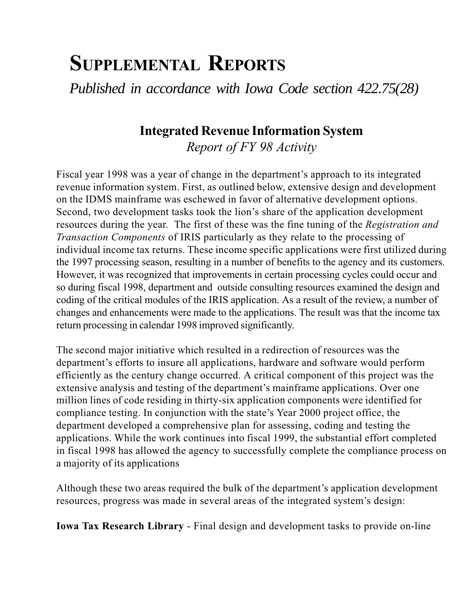## SUPPLEMENTAL REPORTS

*Published in accordance with Iowa Code section 422.75(28)*

### Integrated Revenue Information System

Report of FY 98 Activity

Fiscal year 1998 was a year of change in the department's approach to its integrated revenue information system. First, as outlined below, extensive design and development on the IDMS mainframe was eschewed in favor of alternative development options. Second, two development tasks took the lion's share of the application development resources during the year. The first of these was the fine tuning of the Registration and Transaction Components of IRIS particularly as they relate to the processing of individual income tax returns. These income specific applications were first utilized during the 1997 processing season, resulting in a number of benefits to the agency and its customers. However, it was recognized that improvements in certain processing cycles could occur and so during fiscal 1998, department and outside consulting resources examined the design and coding of the critical modules of the IRIS application. As a result of the review, a number of changes and enhancements were made to the applications. The result was that the income tax return processing in calendar 1998 improved significantly.

The second major initiative which resulted in a redirection of resources was the department's efforts to insure all applications, hardware and software would perform efficiently as the century change occurred. A critical component of this project was the extensive analysis and testing of the department's mainframe applications. Over one million lines of code residing in thirty-six application components were identified for compliance testing. In conjunction with the state's Year 2000 project office, the department developed a comprehensive plan for assessing, coding and testing the applications. While the work continues into fiscal 1999, the substantial effort completed in fiscal 1998 has allowed the agency to successfully complete the compliance process on a majority of its applications

Although these two areas required the bulk of the department's application development resources, progress was made in several areas of the integrated system's design:

Iowa Tax Research Library - Final design and development tasks to provide on-line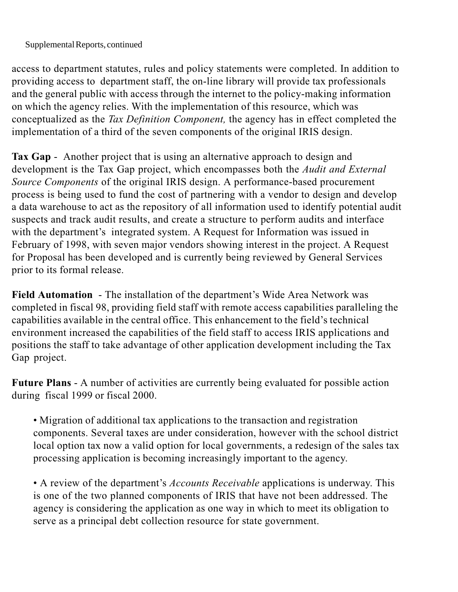Supplemental Reports, continued

access to department statutes, rules and policy statements were completed. In addition to providing access to department staff, the on-line library will provide tax professionals and the general public with access through the internet to the policy-making information on which the agency relies. With the implementation of this resource, which was conceptualized as the Tax Definition Component, the agency has in effect completed the implementation of a third of the seven components of the original IRIS design.

Tax Gap - Another project that is using an alternative approach to design and development is the Tax Gap project, which encompasses both the *Audit and External* Source Components of the original IRIS design. A performance-based procurement process is being used to fund the cost of partnering with a vendor to design and develop a data warehouse to act as the repository of all information used to identify potential audit suspects and track audit results, and create a structure to perform audits and interface with the department's integrated system. A Request for Information was issued in February of 1998, with seven major vendors showing interest in the project. A Request for Proposal has been developed and is currently being reviewed by General Services prior to its formal release.

Field Automation - The installation of the department's Wide Area Network was completed in fiscal 98, providing field staff with remote access capabilities paralleling the capabilities available in the central office. This enhancement to the field's technical environment increased the capabilities of the field staff to access IRIS applications and positions the staff to take advantage of other application development including the Tax Gap project.

Future Plans - A number of activities are currently being evaluated for possible action during fiscal 1999 or fiscal 2000.

 Migration of additional tax applications to the transaction and registration components. Several taxes are under consideration, however with the school district local option tax now a valid option for local governments, a redesign of the sales tax processing application is becoming increasingly important to the agency.

• A review of the department's *Accounts Receivable* applications is underway. This is one of the two planned components of IRIS that have not been addressed. The agency is considering the application as one way in which to meet its obligation to serve as a principal debt collection resource for state government.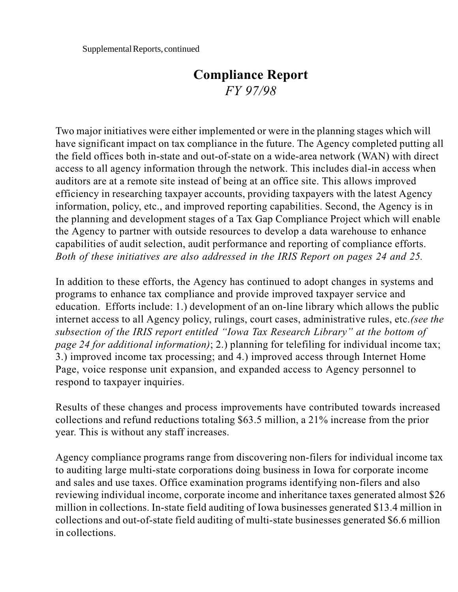#### Compliance Report FY 97/98

Two major initiatives were either implemented or were in the planning stages which will have significant impact on tax compliance in the future. The Agency completed putting all the field offices both in-state and out-of-state on a wide-area network (WAN) with direct access to all agency information through the network. This includes dial-in access when auditors are at a remote site instead of being at an office site. This allows improved efficiency in researching taxpayer accounts, providing taxpayers with the latest Agency information, policy, etc., and improved reporting capabilities. Second, the Agency is in the planning and development stages of a Tax Gap Compliance Project which will enable the Agency to partner with outside resources to develop a data warehouse to enhance capabilities of audit selection, audit performance and reporting of compliance efforts. Both of these initiatives are also addressed in the IRIS Report on pages 24 and 25.

In addition to these efforts, the Agency has continued to adopt changes in systems and programs to enhance tax compliance and provide improved taxpayer service and education. Efforts include: 1.) development of an on-line library which allows the public internet access to all Agency policy, rulings, court cases, administrative rules, etc.(see the subsection of the IRIS report entitled "Iowa Tax Research Library" at the bottom of page 24 for additional information); 2.) planning for telefiling for individual income tax; 3.) improved income tax processing; and 4.) improved access through Internet Home Page, voice response unit expansion, and expanded access to Agency personnel to respond to taxpayer inquiries.

Results of these changes and process improvements have contributed towards increased collections and refund reductions totaling \$63.5 million, a 21% increase from the prior year. This is without any staff increases.

Agency compliance programs range from discovering non-filers for individual income tax to auditing large multi-state corporations doing business in Iowa for corporate income and sales and use taxes. Office examination programs identifying non-filers and also reviewing individual income, corporate income and inheritance taxes generated almost \$26 million in collections. In-state field auditing of Iowa businesses generated \$13.4 million in collections and out-of-state field auditing of multi-state businesses generated \$6.6 million in collections.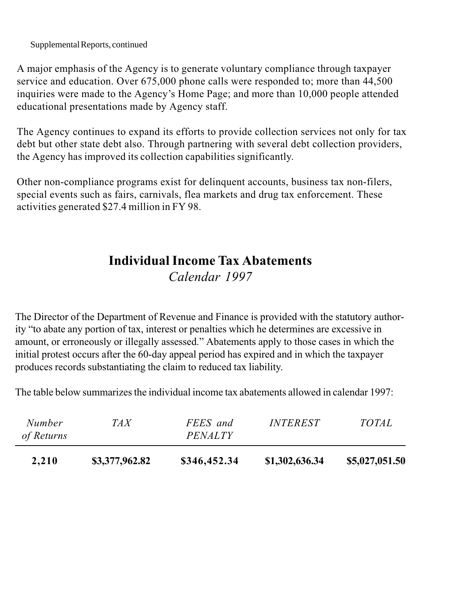Supplemental Reports, continued

A major emphasis of the Agency is to generate voluntary compliance through taxpayer service and education. Over 675,000 phone calls were responded to; more than 44,500 inquiries were made to the Agency's Home Page; and more than 10,000 people attended educational presentations made by Agency staff.

The Agency continues to expand its efforts to provide collection services not only for tax debt but other state debt also. Through partnering with several debt collection providers, the Agency has improved its collection capabilities significantly.

Other non-compliance programs exist for delinquent accounts, business tax non-filers, special events such as fairs, carnivals, flea markets and drug tax enforcement. These activities generated \$27.4 million in FY 98.

### Individual Income Tax Abatements Calendar 1997

The Director of the Department of Revenue and Finance is provided with the statutory authority "to abate any portion of tax, interest or penalties which he determines are excessive in amount, or erroneously or illegally assessed." Abatements apply to those cases in which the initial protest occurs after the 60-day appeal period has expired and in which the taxpayer produces records substantiating the claim to reduced tax liability.

The table below summarizes the individual income tax abatements allowed in calendar 1997:

| 2,210                | \$3,377,962.82 | \$346,452.34               | \$1,302,636.34         | \$5,027,051.50 |
|----------------------|----------------|----------------------------|------------------------|----------------|
| Number<br>of Returns | TA X           | FEES and<br><i>PENALTY</i> | <i><b>INTEREST</b></i> | <i>TOTAL</i>   |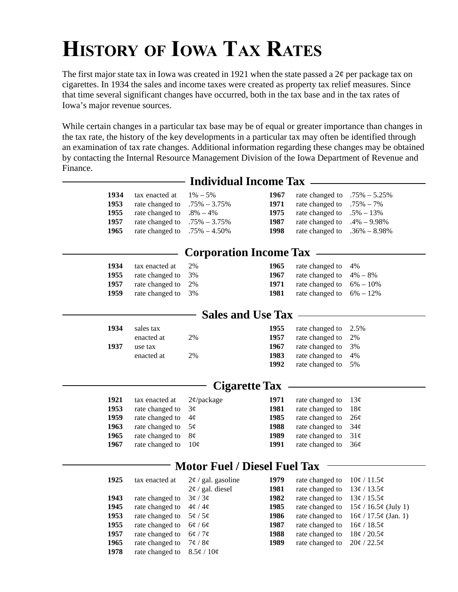# HISTORY OF IOWA TAX RATES

The first major state tax in Iowa was created in 1921 when the state passed a  $2\phi$  per package tax on cigarettes. In 1934 the sales and income taxes were created as property tax relief measures. Since that time several significant changes have occurred, both in the tax base and in the tax rates of Iowa's major revenue sources.

While certain changes in a particular tax base may be of equal or greater importance than changes in the tax rate, the history of the key developments in a particular tax may often be identified through an examination of tax rate changes. Additional information regarding these changes may be obtained by contacting the Internal Resource Management Division of the Iowa Department of Revenue and Finance.

| 1934<br>1953 | tax enacted at $1\% - 5\%$<br>rate changed to $.75\% - 3.75\%$ | 1967<br>1971 | rate changed to $.75\% - 5.25\%$<br>rate changed to $.75\% - 7\%$ |  |
|--------------|----------------------------------------------------------------|--------------|-------------------------------------------------------------------|--|
| 1955         | rate changed to $.8\% - 4\%$                                   | 1975         | rate changed to $.5\% - 13\%$                                     |  |
| 1957         | rate changed to $.75\% - 3.75\%$                               | 1987         | rate changed to $.4\% - 9.98\%$                                   |  |
| 1965         | rate changed to $.75\% - 4.50\%$                               | 1998         | rate changed to $.36\% - 8.98\%$                                  |  |

#### **Individual Income Tax**

#### **Corporation Income Tax**

| 1934 | tax enacted at     | 2% | rate changed to 4%<br>1965           |  |
|------|--------------------|----|--------------------------------------|--|
| 1955 | rate changed to 3% |    | rate changed to $4\% - 8\%$<br>1967  |  |
| 1957 | rate changed to 2% |    | rate changed to $6\% - 10\%$<br>1971 |  |
| 1959 | rate changed to 3% |    | rate changed to $6\% - 12\%$<br>1981 |  |

#### **Sales and Use Tax**

| 1934 | sales tax  |    | 1955 | rate changed to 2.5% |  |
|------|------------|----|------|----------------------|--|
|      | enacted at | 2% | 1957 | rate changed to 2%   |  |
| 1937 | use tax    |    | 1967 | rate changed to 3%   |  |
|      | enacted at | 2% | 1983 | rate changed to 4%   |  |
|      |            |    | 1992 | rate changed to 5%   |  |

#### **Cigarette Tax**

| 1921 | tax enacted at $2\phi$ /package |                 | 1971 | rate changed to $13¢$ |                 |
|------|---------------------------------|-----------------|------|-----------------------|-----------------|
| 1953 | rate changed to                 | 3 <sup>c</sup>  | 1981 | rate changed to       | 18 <sub>c</sub> |
| 1959 | rate changed to $4\phi$         |                 | 1985 | rate changed to $26¢$ |                 |
| 1963 | rate changed to $5\phi$         |                 | 1988 | rate changed to $34¢$ |                 |
| 1965 | rate changed to $8¢$            |                 | 1989 | rate changed to       | 31 <sub>c</sub> |
| 1967 | rate changed to                 | 10 <sub>c</sub> | 1991 | rate changed to       | – 36¢           |
|      |                                 |                 |      |                       |                 |

#### **Motor Fuel / Diesel Fuel Tax**

| 1925 | tax enacted at  | $2\phi$ / gal. gasoline | 1979 | rate changed to | 10¢ / 11.5¢                            |
|------|-----------------|-------------------------|------|-----------------|----------------------------------------|
|      |                 | $2\phi$ / gal. diesel   | 1981 | rate changed to | 13¢ / 13.5¢                            |
| 1943 | rate changed to | 30/30                   | 1982 | rate changed to | 13¢ / 15.5¢                            |
| 1945 | rate changed to | $4\phi/4\phi$           | 1985 | rate changed to | $15¢ / 16.5¢$ (July 1)                 |
| 1953 | rate changed to | 5¢/5¢                   | 1986 |                 | rate changed to $16¢ / 17.5¢$ (Jan. 1) |
| 1955 | rate changed to | 60/60                   | 1987 | rate changed to | 16¢ / 18.5¢                            |
| 1957 | rate changed to | 6¢/7¢                   | 1988 | rate changed to | 18¢ / 20.5¢                            |
| 1965 | rate changed to | $7\epsilon/8\epsilon$   | 1989 | rate changed to | 20¢ / 22.5¢                            |
| 1978 | rate changed to | $8.5\ell/10\ell$        |      |                 |                                        |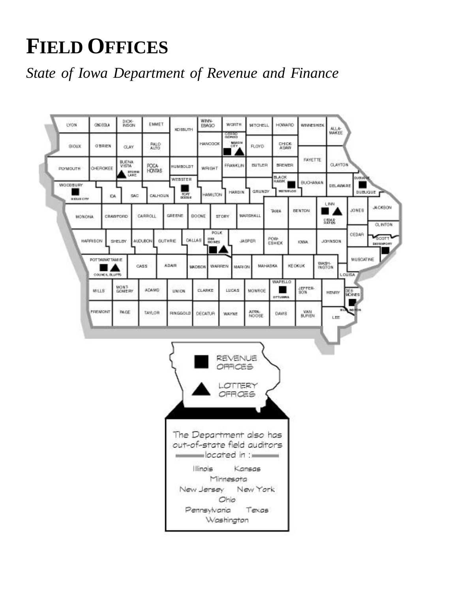## **FIELD OFFICES**

## *State of Iowa Department of Revenue and Finance*

|                 | 060 EQUA              | DICK-                                          | EMMET                            | KD SSUTH        | <b>WENN-</b><br>EBAGO    | <b>WORTH</b><br>CORRO<br>GENROG | <b>WITCHELL</b>                                        | <b>HOWARD</b>                           | <b>WEINESHEK</b>     | 414<br>MAKEE                                  |
|-----------------|-----------------------|------------------------------------------------|----------------------------------|-----------------|--------------------------|---------------------------------|--------------------------------------------------------|-----------------------------------------|----------------------|-----------------------------------------------|
| <b>SIOUX</b>    | OBREN                 | <b>CLAY</b>                                    | PALO:<br>ALTO                    |                 | <b>HANCOCK</b>           | MAID N<br>407                   | <b>FLOYD</b>                                           | CHICK<br>ASAW                           |                      |                                               |
| PLYMOUTH        | CHEROKEE              | <b>BUENA</b><br>VISTA<br><b>STORE</b><br>LAKE. | POG4<br><b>HONTAS</b>            | HUMBOLDT        | WRIGHT                   | FRANKLIN                        | <b>BUTLER</b>                                          | <b>BECNER</b>                           | FAYETTE              | CLAYTON                                       |
| WOODBURY        | IDA                   | SAC                                            | CALHOUN                          | WEBSTER<br>FORT | <b>HAMILTON</b>          | <b>HARDIN</b>                   | GRUNDY                                                 | <b>BLACK</b><br><b>HAWK</b><br>WATERLOO | <b>BUCHANAN</b>      | <b>DUOUSTER</b><br><b>DELAWARE</b><br>DUBJOUE |
| <b>BRUSCITY</b> |                       |                                                | CARROLL                          | GREENE          | BOONE                    |                                 | MARSHALL                                               | <b>TANA</b>                             | <b>BENTON</b>        | L INN<br>JONES                                |
| MONONA.         |                       | <b>CRAWFORD</b>                                |                                  |                 | <b>POLK</b>              | <b>STORY</b>                    |                                                        |                                         |                      | 8898                                          |
|                 | HARRISON              | SHELBY                                         | <b>GUTHRIE</b><br><b>AUDUBON</b> | CALLAB          | 日期<br><b>HIO NES</b>     |                                 | <b>JASPER</b>                                          | POW-<br>EBHIEK                          | IOWA.                | CEDAR<br>JOHN SON                             |
|                 | POTTAWAT TAN IE       | CASS                                           |                                  | ADAR            | WARREN<br><b>MADISON</b> | <b>MARION</b>                   | MAHABKA.                                               | <b>KEOKUK</b>                           |                      | MUSCATINE<br>WASH-<br><b>INGTON</b>           |
|                 | <b>COUNCIL BLUTTS</b> |                                                |                                  |                 |                          |                                 |                                                        | WAPELLO                                 |                      | <b>LOUISA</b>                                 |
|                 | <b>MILLS</b>          | <b>MONT</b><br><b>GONERY</b>                   | <b>ADAMS</b>                     | <b>UNION</b>    | CLARKE                   | LUCAS                           | MONROE                                                 | OTTURNS                                 | JEPPER-<br>80N       | DER<br>MOINES<br><b>HENRY</b>                 |
|                 | <b>FREMONT</b>        | <b>PAGE</b>                                    | TAYLOR                           | PINGGOLD        | DECATUR                  | <b>WAYNE</b>                    | AFRA-<br>NO DBE                                        | DAW B                                   | <b>VAN</b><br>BUREN- | <b>MORE</b> N<br>ШL<br>LEE                    |
|                 |                       |                                                |                                  |                 |                          |                                 |                                                        |                                         |                      |                                               |
|                 |                       |                                                |                                  |                 |                          |                                 |                                                        |                                         |                      |                                               |
|                 |                       |                                                |                                  |                 |                          |                                 |                                                        |                                         |                      |                                               |
|                 |                       |                                                |                                  |                 |                          | REVENUE                         |                                                        |                                         |                      |                                               |
|                 |                       |                                                |                                  |                 |                          | OFFICES                         |                                                        |                                         |                      |                                               |
|                 |                       |                                                |                                  |                 |                          | LOTTERY<br>OFROES               |                                                        |                                         |                      |                                               |
|                 |                       |                                                |                                  |                 |                          |                                 |                                                        |                                         |                      |                                               |
|                 |                       |                                                |                                  |                 |                          |                                 |                                                        |                                         |                      |                                               |
|                 |                       |                                                |                                  |                 |                          |                                 | The Department also has<br>out-of-state field auditors |                                         |                      |                                               |
|                 |                       |                                                |                                  |                 |                          |                                 | $\blacksquare$ located in : $\blacksquare$             |                                         |                      |                                               |
|                 |                       |                                                |                                  |                 | Illinois Kansas          |                                 |                                                        |                                         |                      |                                               |
|                 |                       |                                                |                                  |                 |                          | Minnesota<br>Ohio               | New Jersey New York                                    |                                         |                      |                                               |